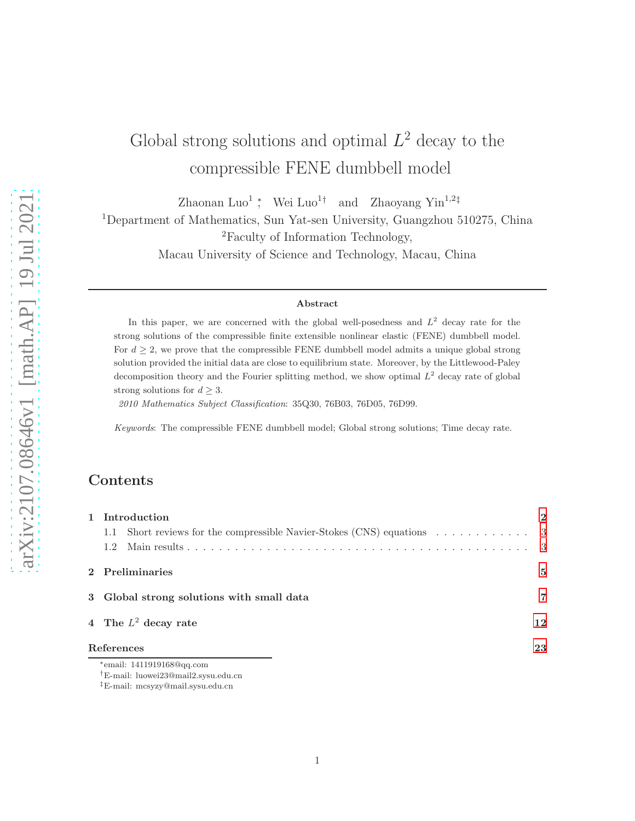# Global strong solutions and optimal  $L^2$  decay to the compressible FENE dumbbell model

Zhaonan Luo<sup>1</sup>; Wei Luo<sup>1†</sup> and Zhaoyang Yin<sup>1,2‡</sup>

<sup>1</sup>Department of Mathematics, Sun Yat-sen University, Guangzhou 510275, China

<sup>2</sup>Faculty of Information Technology,

Macau University of Science and Technology, Macau, China

#### Abstract

In this paper, we are concerned with the global well-posedness and  $L^2$  decay rate for the strong solutions of the compressible finite extensible nonlinear elastic (FENE) dumbbell model. For  $d \geq 2$ , we prove that the compressible FENE dumbbell model admits a unique global strong solution provided the initial data are close to equilibrium state. Moreover, by the Littlewood-Paley decomposition theory and the Fourier splitting method, we show optimal  $L^2$  decay rate of global strong solutions for  $d \geq 3$ .

2010 Mathematics Subject Classification: 35Q30, 76B03, 76D05, 76D99.

Keywords: The compressible FENE dumbbell model; Global strong solutions; Time decay rate.

## Contents

| 1 Introduction                                                         | $\mathbf{2}$ |
|------------------------------------------------------------------------|--------------|
| 1.1 Short reviews for the compressible Navier-Stokes (CNS) equations 3 |              |
| 1.2                                                                    |              |
| 2 Preliminaries                                                        | $\mathbf{5}$ |
| 3 Global strong solutions with small data                              | 7            |
| 4 The $L^2$ decay rate                                                 | 12           |
| References                                                             | 23           |
| *email: $1411919168@aa.com$                                            |              |

<sup>†</sup>E-mail: luowei23@mail2.sysu.edu.cn

<sup>‡</sup>E-mail: mcsyzy@mail.sysu.edu.cn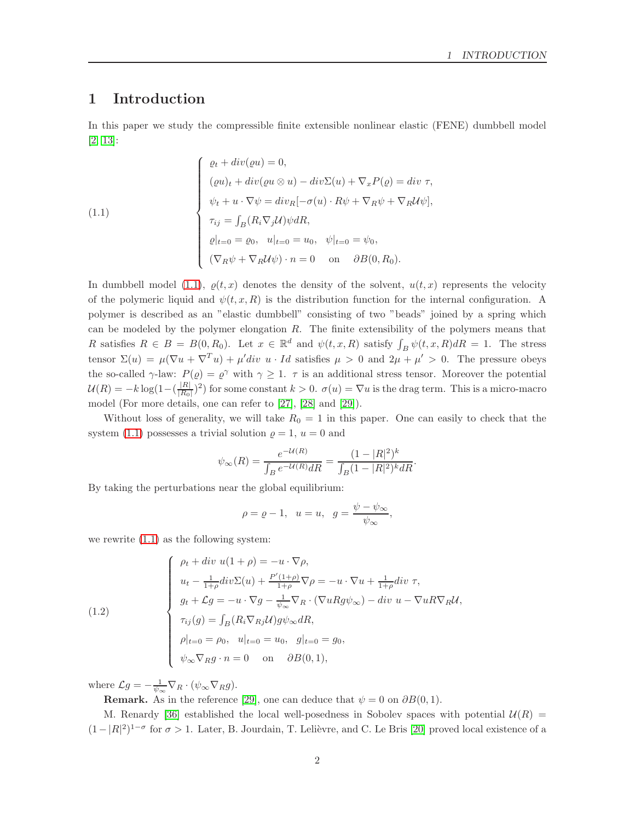## <span id="page-1-0"></span>1 Introduction

In this paper we study the compressible finite extensible nonlinear elastic (FENE) dumbbell model [\[2,](#page-22-1) [13\]](#page-23-0):

<span id="page-1-1"></span>(1.1)  
\n
$$
\begin{cases}\n\varrho_t + div(\varrho u) = 0, \\
(\varrho u)_t + div(\varrho u \otimes u) - div \Sigma(u) + \nabla_x P(\varrho) = div \tau, \\
\psi_t + u \cdot \nabla \psi = div_R[-\sigma(u) \cdot R\psi + \nabla_R \psi + \nabla_R U \psi], \\
\tau_{ij} = \int_B (R_i \nabla_j U) \psi dR, \\
\varrho|_{t=0} = \varrho_0, \quad u|_{t=0} = u_0, \quad \psi|_{t=0} = \psi_0, \\
(\nabla_R \psi + \nabla_R U \psi) \cdot n = 0 \quad \text{on} \quad \partial B(0, R_0).\n\end{cases}
$$

In dumbbell model [\(1.1\)](#page-1-1),  $\rho(t, x)$  denotes the density of the solvent,  $u(t, x)$  represents the velocity of the polymeric liquid and  $\psi(t, x, R)$  is the distribution function for the internal configuration. A polymer is described as an "elastic dumbbell" consisting of two "beads" joined by a spring which can be modeled by the polymer elongation  $R$ . The finite extensibility of the polymers means that R satisfies  $R \in B = B(0, R_0)$ . Let  $x \in \mathbb{R}^d$  and  $\psi(t, x, R)$  satisfy  $\int_B \psi(t, x, R) dR = 1$ . The stress tensor  $\Sigma(u) = \mu(\nabla u + \nabla^T u) + \mu' div u \cdot Id$  satisfies  $\mu > 0$  and  $2\mu + \mu' > 0$ . The pressure obeys the so-called  $\gamma$ -law:  $P(\varrho) = \varrho^{\gamma}$  with  $\gamma \geq 1$ .  $\tau$  is an additional stress tensor. Moreover the potential  $\mathcal{U}(R) = -k \log(1 - (\frac{|R|}{|R_0|})$  $\frac{|R|}{|R_0|}$  (2) for some constant  $k > 0$ .  $\sigma(u) = \nabla u$  is the drag term. This is a micro-macro model (For more details, one can refer to [\[27\]](#page-24-0), [\[28\]](#page-24-1) and [\[29\]](#page-24-2)).

Without loss of generality, we will take  $R_0 = 1$  in this paper. One can easily to check that the system [\(1.1\)](#page-1-1) possesses a trivial solution  $\rho = 1$ ,  $u = 0$  and

$$
\psi_{\infty}(R) = \frac{e^{-\mathcal{U}(R)}}{\int_B e^{-\mathcal{U}(R)} dR} = \frac{(1 - |R|^2)^k}{\int_B (1 - |R|^2)^k dR}.
$$

By taking the perturbations near the global equilibrium:

$$
\rho = \varrho - 1, \quad u = u, \quad g = \frac{\psi - \psi_{\infty}}{\psi_{\infty}},
$$

we rewrite [\(1.1\)](#page-1-1) as the following system:

<span id="page-1-2"></span>(1.2)  

$$
\begin{cases}\n\rho_t + div \ u(1 + \rho) = -u \cdot \nabla \rho, \\
u_t - \frac{1}{1+\rho} div \Sigma(u) + \frac{P'(1+\rho)}{1+\rho} \nabla \rho = -u \cdot \nabla u + \frac{1}{1+\rho} div \ \tau, \\
g_t + \mathcal{L}g = -u \cdot \nabla g - \frac{1}{\psi_{\infty}} \nabla_R \cdot (\nabla u R g \psi_{\infty}) - div \ u - \nabla u R \nabla_R \mathcal{U}, \\
\tau_{ij}(g) = \int_B (R_i \nabla_{Rj} \mathcal{U}) g \psi_{\infty} dR, \\
\rho|_{t=0} = \rho_0, \ u|_{t=0} = u_0, \ g|_{t=0} = g_0, \\
\psi_{\infty} \nabla_R g \cdot n = 0 \quad \text{on} \quad \partial B(0, 1),\n\end{cases}
$$

where  $\mathcal{L}g = -\frac{1}{\psi_{\infty}} \nabla_R \cdot (\psi_{\infty} \nabla_R g)$ .

**Remark.** As in the reference [\[29\]](#page-24-2), one can deduce that  $\psi = 0$  on  $\partial B(0,1)$ .

M. Renardy [\[36\]](#page-24-3) established the local well-posedness in Sobolev spaces with potential  $U(R)$  =  $(1-|R|^2)^{1-\sigma}$  for  $\sigma > 1$ . Later, B. Jourdain, T. Lelièvre, and C. Le Bris [\[20\]](#page-23-1) proved local existence of a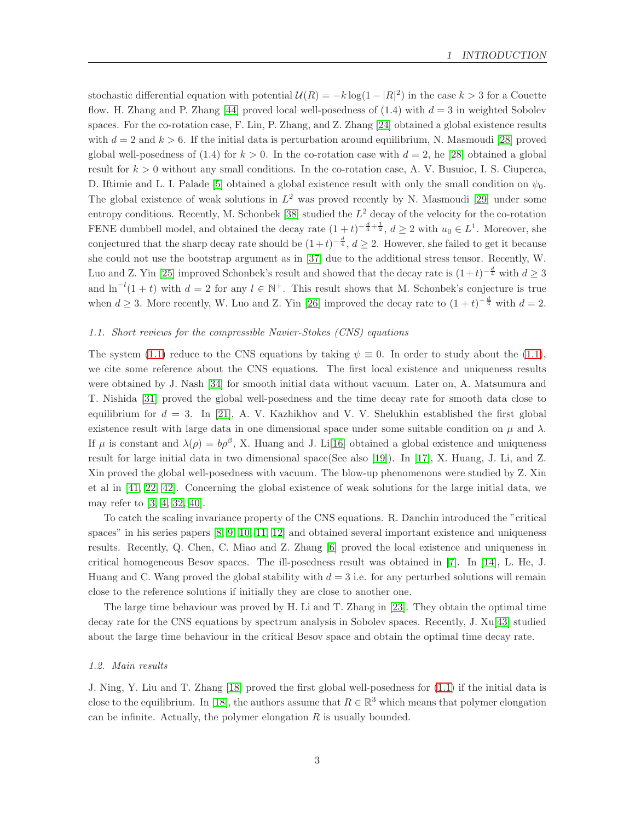stochastic differential equation with potential  $\mathcal{U}(R) = -k \log(1 - |R|^2)$  in the case  $k > 3$  for a Couette flow. H. Zhang and P. Zhang [\[44\]](#page-25-0) proved local well-posedness of  $(1.4)$  with  $d = 3$  in weighted Sobolev spaces. For the co-rotation case, F. Lin, P. Zhang, and Z. Zhang [\[24\]](#page-24-4) obtained a global existence results with  $d = 2$  and  $k > 6$ . If the initial data is perturbation around equilibrium, N. Masmoudi [\[28\]](#page-24-1) proved global well-posedness of  $(1.4)$  for  $k > 0$ . In the co-rotation case with  $d = 2$ , he [\[28\]](#page-24-1) obtained a global result for  $k > 0$  without any small conditions. In the co-rotation case, A. V. Busuioc, I. S. Ciuperca, D. Iftimie and L. I. Palade [\[5\]](#page-22-2) obtained a global existence result with only the small condition on  $\psi_0$ . The global existence of weak solutions in  $L^2$  was proved recently by N. Masmoudi [\[29\]](#page-24-2) under some entropy conditions. Recently, M. Schonbek [\[38\]](#page-24-5) studied the  $L^2$  decay of the velocity for the co-rotation FENE dumbbell model, and obtained the decay rate  $(1+t)^{-\frac{d}{4}+\frac{1}{2}}$ ,  $d \geq 2$  with  $u_0 \in L^1$ . Moreover, she conjectured that the sharp decay rate should be  $(1+t)^{-\frac{d}{4}}$ ,  $d \geq 2$ . However, she failed to get it because she could not use the bootstrap argument as in [\[37\]](#page-24-6) due to the additional stress tensor. Recently, W. Luo and Z. Yin [\[25\]](#page-24-7) improved Schonbek's result and showed that the decay rate is  $(1+t)^{-\frac{d}{4}}$  with  $d \geq 3$ and  $\ln^{-l}(1+t)$  with  $d=2$  for any  $l \in \mathbb{N}^+$ . This result shows that M. Schonbek's conjecture is true when  $d \geq 3$ . More recently, W. Luo and Z. Yin [\[26\]](#page-24-8) improved the decay rate to  $(1+t)^{-\frac{d}{4}}$  with  $d=2$ .

#### <span id="page-2-0"></span>1.1. Short reviews for the compressible Navier-Stokes (CNS) equations

The system [\(1.1\)](#page-1-1) reduce to the CNS equations by taking  $\psi \equiv 0$ . In order to study about the (1.1), we cite some reference about the CNS equations. The first local existence and uniqueness results were obtained by J. Nash [\[34\]](#page-24-9) for smooth initial data without vacuum. Later on, A. Matsumura and T. Nishida [\[31\]](#page-24-10) proved the global well-posedness and the time decay rate for smooth data close to equilibrium for  $d = 3$ . In [\[21\]](#page-23-2), A. V. Kazhikhov and V. V. Shelukhin established the first global existence result with large data in one dimensional space under some suitable condition on  $\mu$  and  $\lambda$ . If  $\mu$  is constant and  $\lambda(\rho) = b\rho^{\beta}$ , X. Huang and J. Li<sup>[\[16\]](#page-23-3)</sup> obtained a global existence and uniqueness result for large initial data in two dimensional space(See also [\[19\]](#page-23-4)). In [\[17\]](#page-23-5), X. Huang, J. Li, and Z. Xin proved the global well-posedness with vacuum. The blow-up phenomenons were studied by Z. Xin et al in [\[41,](#page-25-1) [22,](#page-23-6) [42\]](#page-25-2). Concerning the global existence of weak solutions for the large initial data, we may refer to [\[3,](#page-22-3) [4,](#page-22-4) [32,](#page-24-11) [40\]](#page-25-3).

To catch the scaling invariance property of the CNS equations. R. Danchin introduced the "critical spaces" in his series papers [\[8,](#page-23-7) [9,](#page-23-8) [10,](#page-23-9) [11,](#page-23-10) [12\]](#page-23-11) and obtained several important existence and uniqueness results. Recently, Q. Chen, C. Miao and Z. Zhang [\[6\]](#page-22-5) proved the local existence and uniqueness in critical homogeneous Besov spaces. The ill-posedness result was obtained in [\[7\]](#page-23-12). In [\[14\]](#page-23-13), L. He, J. Huang and C. Wang proved the global stability with  $d = 3$  i.e. for any perturbed solutions will remain close to the reference solutions if initially they are close to another one.

The large time behaviour was proved by H. Li and T. Zhang in [\[23\]](#page-24-12). They obtain the optimal time decay rate for the CNS equations by spectrum analysis in Sobolev spaces. Recently, J. Xu[\[43\]](#page-25-4) studied about the large time behaviour in the critical Besov space and obtain the optimal time decay rate.

#### <span id="page-2-1"></span>1.2. Main results

J. Ning, Y. Liu and T. Zhang [\[18\]](#page-23-14) proved the first global well-posedness for [\(1.1\)](#page-1-1) if the initial data is close to the equilibrium. In [\[18\]](#page-23-14), the authors assume that  $R \in \mathbb{R}^3$  which means that polymer elongation can be infinite. Actually, the polymer elongation  $R$  is usually bounded.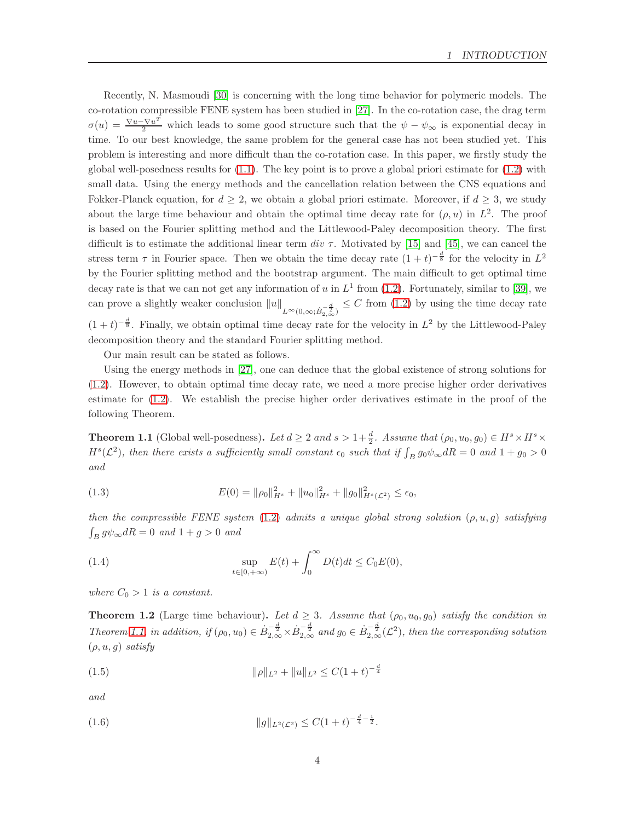Recently, N. Masmoudi [\[30\]](#page-24-13) is concerning with the long time behavior for polymeric models. The co-rotation compressible FENE system has been studied in [\[27\]](#page-24-0). In the co-rotation case, the drag term  $\sigma(u) = \frac{\nabla u - \nabla u^T}{2}$  which leads to some good structure such that the  $\psi - \psi_{\infty}$  is exponential decay in time. To our best knowledge, the same problem for the general case has not been studied yet. This problem is interesting and more difficult than the co-rotation case. In this paper, we firstly study the global well-posedness results for  $(1.1)$ . The key point is to prove a global priori estimate for  $(1.2)$  with small data. Using the energy methods and the cancellation relation between the CNS equations and Fokker-Planck equation, for  $d \geq 2$ , we obtain a global priori estimate. Moreover, if  $d \geq 3$ , we study about the large time behaviour and obtain the optimal time decay rate for  $(\rho, u)$  in  $L^2$ . The proof is based on the Fourier splitting method and the Littlewood-Paley decomposition theory. The first difficult is to estimate the additional linear term div  $\tau$ . Motivated by [\[15\]](#page-23-15) and [\[45\]](#page-25-5), we can cancel the stress term  $\tau$  in Fourier space. Then we obtain the time decay rate  $(1+t)^{-\frac{d}{8}}$  for the velocity in  $L^2$ by the Fourier splitting method and the bootstrap argument. The main difficult to get optimal time decay rate is that we can not get any information of u in  $L^1$  from [\(1.2\)](#page-1-2). Fortunately, similar to [\[39\]](#page-24-14), we can prove a slightly weaker conclusion  $||u||_{L^{\infty}(0,\infty;\dot{B}_{2,\infty}^{-\frac{d}{2}})} \leq C$  from [\(1.2\)](#page-1-2) by using the time decay rate  $(1+t)^{-\frac{d}{8}}$ . Finally, we obtain optimal time decay rate for the velocity in  $L^2$  by the Littlewood-Paley decomposition theory and the standard Fourier splitting method.

Our main result can be stated as follows.

Using the energy methods in [\[27\]](#page-24-0), one can deduce that the global existence of strong solutions for [\(1.2\)](#page-1-2). However, to obtain optimal time decay rate, we need a more precise higher order derivatives estimate for [\(1.2\)](#page-1-2). We establish the precise higher order derivatives estimate in the proof of the following Theorem.

<span id="page-3-0"></span>**Theorem 1.1** (Global well-posedness). Let  $d \geq 2$  and  $s > 1 + \frac{d}{2}$ . Assume that  $(\rho_0, u_0, g_0) \in H^s \times H^s \times H^s$  $H^s(\mathcal{L}^2)$ , then there exists a sufficiently small constant  $\epsilon_0$  such that if  $\int_B g_0 \psi_\infty dR = 0$  and  $1 + g_0 > 0$ and

(1.3) 
$$
E(0) = \|\rho_0\|_{H^s}^2 + \|u_0\|_{H^s}^2 + \|g_0\|_{H^s(\mathcal{L}^2)}^2 \leq \epsilon_0,
$$

then the compressible FENE system  $(1.2)$  admits a unique global strong solution  $(\rho, u, g)$  satisfying  $\int_B g \psi_\infty dR = 0$  and  $1 + g > 0$  and

(1.4) 
$$
\sup_{t \in [0, +\infty)} E(t) + \int_0^{\infty} D(t)dt \le C_0 E(0),
$$

where  $C_0 > 1$  is a constant.

<span id="page-3-1"></span>**Theorem 1.2** (Large time behaviour). Let  $d \geq 3$ . Assume that  $(\rho_0, u_0, g_0)$  satisfy the condition in Theorem [1.1,](#page-3-0) in addition, if  $(\rho_0, u_0) \in \dot{B}_{2,\infty}^{-\frac{d}{2}} \times \dot{B}_{2,\infty}^{-\frac{d}{2}}$  and  $g_0 \in \dot{B}_{2,\infty}^{-\frac{d}{2}}(\mathcal{L}^2)$ , then the corresponding solution  $(\rho, u, g)$  satisfy

$$
(1.5) \t\t\t ||\rho||_{L^2} + ||u||_{L^2} \le C(1+t)^{-\frac{d}{4}}
$$

and

$$
(1.6) \t\t\t ||g||_{L^2(\mathcal{L}^2)} \leq C(1+t)^{-\frac{d}{4}-\frac{1}{2}}.
$$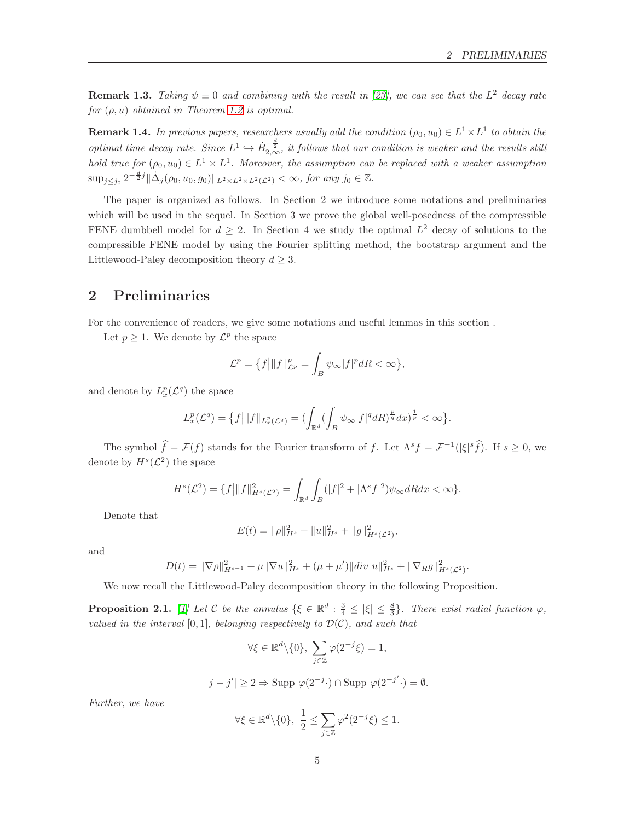.

**Remark 1.3.** Taking  $\psi \equiv 0$  and combining with the result in [\[23\]](#page-24-12), we can see that the L<sup>2</sup> decay rate for  $(\rho, u)$  obtained in Theorem [1.2](#page-3-1) is optimal.

**Remark 1.4.** In previous papers, researchers usually add the condition  $(\rho_0, u_0) \in L^1 \times L^1$  to obtain the optimal time decay rate. Since  $L^1 \hookrightarrow \dot{B}_{2,\infty}^{-\frac{d}{2}}$ , it follows that our condition is weaker and the results still hold true for  $(\rho_0, u_0) \in L^1 \times L^1$ . Moreover, the assumption can be replaced with a weaker assumption  $\sup_{j\leq j_0} 2^{-\frac{d}{2}j} \|\dot{\Delta}_j(\rho_0, u_0, g_0)\|_{L^2\times L^2\times L^2(\mathcal{L}^2)} < \infty$ , for any  $j_0 \in \mathbb{Z}$ .

The paper is organized as follows. In Section 2 we introduce some notations and preliminaries which will be used in the sequel. In Section 3 we prove the global well-posedness of the compressible FENE dumbbell model for  $d \geq 2$ . In Section 4 we study the optimal  $L^2$  decay of solutions to the compressible FENE model by using the Fourier splitting method, the bootstrap argument and the Littlewood-Paley decomposition theory  $d \geq 3$ .

## <span id="page-4-0"></span>2 Preliminaries

For the convenience of readers, we give some notations and useful lemmas in this section .

Let  $p \geq 1$ . We denote by  $\mathcal{L}^p$  the space

$$
\mathcal{L}^p = \left\{ f \middle| \|f\|_{\mathcal{L}^p}^p = \int_B \psi_\infty |f|^p dR < \infty \right\},\
$$

and denote by  $L_x^p(\mathcal{L}^q)$  the space

$$
L_x^p(\mathcal{L}^q) = \{f\big|\|f\|_{L_x^p(\mathcal{L}^q)} = (\int_{\mathbb{R}^d} (\int_B \psi_\infty |f|^q dR)^{\frac{p}{q}} dx)^{\frac{1}{p}} < \infty\}.
$$

The symbol  $\hat{f} = \mathcal{F}(f)$  stands for the Fourier transform of f. Let  $\Lambda^s f = \mathcal{F}^{-1}(|\xi|^s \hat{f})$ . If  $s \geq 0$ , we denote by  $H^s(\mathcal{L}^2)$  the space

$$
H^{s}(\mathcal{L}^{2}) = \{f\big|\|f\|_{H^{s}(\mathcal{L}^{2})}^{2} = \int_{\mathbb{R}^{d}} \int_{B} (|f|^{2} + |\Lambda^{s} f|^{2}) \psi_{\infty} dR dx < \infty\}.
$$

Denote that

$$
E(t) = ||\rho||_{H^s}^2 + ||u||_{H^s}^2 + ||g||_{H^s(\mathcal{L}^2)}^2,
$$

and

$$
D(t) = \|\nabla \rho\|_{H^{s-1}}^2 + \mu \|\nabla u\|_{H^s}^2 + (\mu + \mu')\|div u\|_{H^s}^2 + \|\nabla_R g\|_{H^s(\mathcal{L}^2)}^2
$$

We now recall the Littlewood-Paley decomposition theory in the following Proposition.

<span id="page-4-1"></span>**Proposition 2.1.** [\[1\]](#page-22-6) Let C be the annulus  $\{\xi \in \mathbb{R}^d : \frac{3}{4} \leq |\xi| \leq \frac{8}{3}\}$ . There exist radial function  $\varphi$ , valued in the interval  $[0, 1]$ , belonging respectively to  $\mathcal{D}(\mathcal{C})$ , and such that

$$
\forall \xi \in \mathbb{R}^d \backslash \{0\}, \ \sum_{j \in \mathbb{Z}} \varphi(2^{-j}\xi) = 1,
$$

$$
|j - j'| \ge 2 \Rightarrow \text{Supp }\varphi(2^{-j} \cdot) \cap \text{Supp }\varphi(2^{-j'} \cdot) = \emptyset.
$$

Further, we have

$$
\forall \xi \in \mathbb{R}^d \setminus \{0\}, \ \frac{1}{2} \le \sum_{j \in \mathbb{Z}} \varphi^2(2^{-j}\xi) \le 1.
$$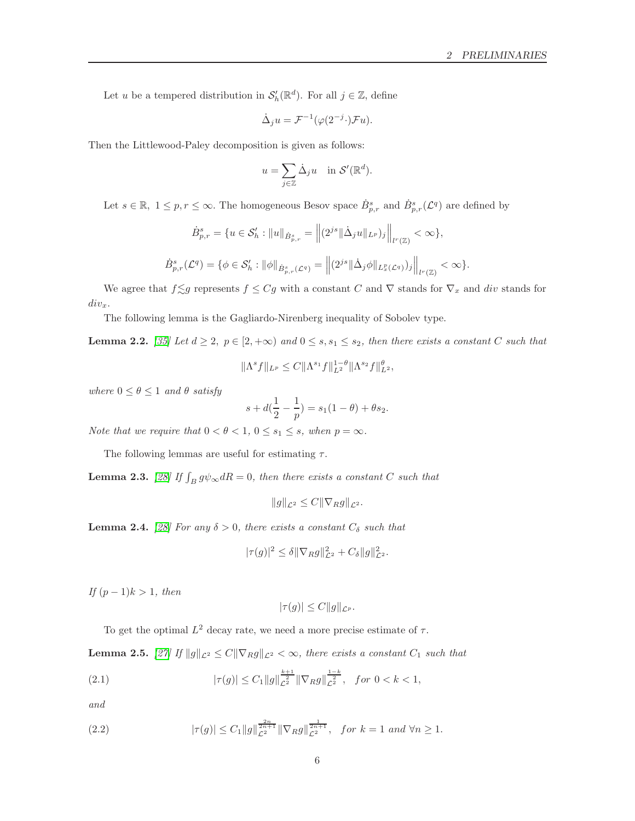Let u be a tempered distribution in  $\mathcal{S}'_h(\mathbb{R}^d)$ . For all  $j \in \mathbb{Z}$ , define

$$
\dot{\Delta}_j u = \mathcal{F}^{-1}(\varphi(2^{-j} \cdot) \mathcal{F} u).
$$

Then the Littlewood-Paley decomposition is given as follows:

$$
u = \sum_{j \in \mathbb{Z}} \dot{\Delta}_j u \quad \text{in } \mathcal{S}'(\mathbb{R}^d).
$$

Let  $s \in \mathbb{R}, 1 \leq p, r \leq \infty$ . The homogeneous Besov space  $\dot{B}^s_{p,r}$  and  $\dot{B}^s_{p,r}(\mathcal{L}^q)$  are defined by

$$
\dot{B}_{p,r}^s = \{ u \in \mathcal{S}'_h : \|u\|_{\dot{B}_{p,r}^s} = \left\| (2^{js} \|\dot{\Delta}_j u\|_{L^p})_j \right\|_{l^r(\mathbb{Z})} < \infty \},
$$
  

$$
\dot{B}_{p,r}^s(\mathcal{L}^q) = \{ \phi \in \mathcal{S}'_h : \|\phi\|_{\dot{B}_{p,r}^s(\mathcal{L}^q)} = \left\| (2^{js} \|\dot{\Delta}_j \phi\|_{L^p(\mathcal{L}^q)})_j \right\|_{l^r(\mathbb{Z})} < \infty \}.
$$

We agree that  $f \leq g$  represents  $f \leq Gg$  with a constant C and  $\nabla$  stands for  $\nabla_x$  and div stands for  $div_x$ .

The following lemma is the Gagliardo-Nirenberg inequality of Sobolev type.

<span id="page-5-2"></span>**Lemma 2.2.** [\[35\]](#page-24-15) Let  $d \geq 2$ ,  $p \in [2, +\infty)$  and  $0 \leq s, s_1 \leq s_2$ , then there exists a constant C such that

$$
\|\Lambda^s f\|_{L^p} \leq C \|\Lambda^{s_1} f\|_{L^2}^{1-\theta} \|\Lambda^{s_2} f\|_{L^2}^{\theta},
$$

where  $0 \le \theta \le 1$  and  $\theta$  satisfy

$$
s + d(\frac{1}{2} - \frac{1}{p}) = s_1(1 - \theta) + \theta s_2.
$$

Note that we require that  $0 < \theta < 1$ ,  $0 \le s_1 \le s$ , when  $p = \infty$ .

The following lemmas are useful for estimating  $\tau$ .

<span id="page-5-0"></span>**Lemma 2.3.** [\[28\]](#page-24-1) If  $\int_B g \psi_\infty dR = 0$ , then there exists a constant C such that

$$
||g||_{\mathcal{L}^2} \leq C||\nabla_R g||_{\mathcal{L}^2}.
$$

<span id="page-5-3"></span>**Lemma 2.4.** [\[28\]](#page-24-1) For any  $\delta > 0$ , there exists a constant  $C_{\delta}$  such that

$$
|\tau(g)|^2 \le \delta \|\nabla_R g\|_{\mathcal{L}^2}^2 + C_{\delta} \|g\|_{\mathcal{L}^2}^2.
$$

If  $(p-1)k > 1$ , then

$$
|\tau(g)| \le C ||g||_{\mathcal{L}^p}.
$$

To get the optimal  $L^2$  decay rate, we need a more precise estimate of  $\tau$ .

<span id="page-5-1"></span>**Lemma 2.5.** [\[27\]](#page-24-0) If  $||g||_{\mathcal{L}^2} \leq C||\nabla_R g||_{\mathcal{L}^2} < \infty$ , there exists a constant  $C_1$  such that

(2.1) 
$$
|\tau(g)| \leq C_1 \|g\|_{\mathcal{L}^2}^{\frac{k+1}{2}} \|\nabla_R g\|_{\mathcal{L}^2}^{\frac{1-k}{2}}, \quad \text{for } 0 < k < 1,
$$

and

(2.2) 
$$
|\tau(g)| \leq C_1 \|g\|_{\mathcal{L}^2}^{\frac{2n}{2n+1}} \|\nabla_R g\|_{\mathcal{L}^2}^{\frac{1}{2n+1}}, \text{ for } k=1 \text{ and } \forall n \geq 1.
$$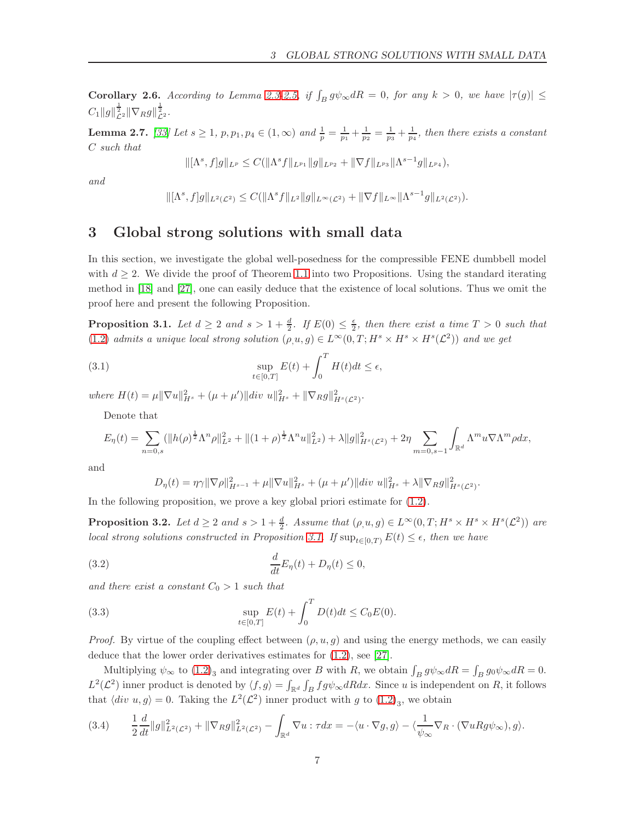<span id="page-6-4"></span>Corollary 2.6. According to Lemma [2.3-](#page-5-0)[2.5,](#page-5-1) if  $\int_B g \psi_\infty dR = 0$ , for any  $k > 0$ , we have  $|\tau(g)| \leq$  $C_1 \|g\|_{\mathcal{L}^2}^{\frac{1}{2}} \|\nabla_R g\|_{\mathcal{L}^2}^{\frac{1}{2}}.$ 

<span id="page-6-2"></span>**Lemma 2.7.** [\[33\]](#page-24-16) Let  $s \ge 1$ ,  $p, p_1, p_4 \in (1, \infty)$  and  $\frac{1}{p} = \frac{1}{p_1} + \frac{1}{p_2} = \frac{1}{p_3} + \frac{1}{p_4}$ , then there exists a constant C such that

$$
\|[\Lambda^s, f]g\|_{L^p} \leq C(\|\Lambda^s f\|_{L^{p_1}} \|g\|_{L^{p_2}} + \|\nabla f\|_{L^{p_3}} \|\Lambda^{s-1} g\|_{L^{p_4}}),
$$

and

$$
\|[\Lambda^s, f]g\|_{L^2(\mathcal{L}^2)} \leq C(\|\Lambda^s f\|_{L^2} \|g\|_{L^\infty(\mathcal{L}^2)} + \|\nabla f\|_{L^\infty} \|\Lambda^{s-1} g\|_{L^2(\mathcal{L}^2)}).
$$

### <span id="page-6-0"></span>3 Global strong solutions with small data

In this section, we investigate the global well-posedness for the compressible FENE dumbbell model with  $d \geq 2$ . We divide the proof of Theorem [1.1](#page-3-0) into two Propositions. Using the standard iterating method in [\[18\]](#page-23-14) and [\[27\]](#page-24-0), one can easily deduce that the existence of local solutions. Thus we omit the proof here and present the following Proposition.

<span id="page-6-1"></span>**Proposition 3.1.** Let  $d \geq 2$  and  $s > 1 + \frac{d}{2}$ . If  $E(0) \leq \frac{\epsilon}{2}$ , then there exist a time  $T > 0$  such that [\(1.2\)](#page-1-2) admits a unique local strong solution  $(\rho, u, g) \in L^{\infty}(0,T; H^s \times H^s \times H^s(\mathcal{L}^2))$  and we get

(3.1) 
$$
\sup_{t \in [0,T]} E(t) + \int_0^T H(t)dt \le \epsilon,
$$

where  $H(t) = \mu \|\nabla u\|_{H^s}^2 + (\mu + \mu') \|div u\|_{H^s}^2 + \|\nabla_R g\|_{H^s(\mathcal{L}^2)}^2$ .

Denote that

$$
E_{\eta}(t) = \sum_{n=0,s} (\|h(\rho)^{\frac{1}{2}} \Lambda^n \rho\|_{L^2}^2 + \|(1+\rho)^{\frac{1}{2}} \Lambda^n u\|_{L^2}^2) + \lambda \|g\|_{H^s(\mathcal{L}^2)}^2 + 2\eta \sum_{m=0,s-1} \int_{\mathbb{R}^d} \Lambda^m u \nabla \Lambda^m \rho dx,
$$

and

$$
D_{\eta}(t) = \eta \gamma \|\nabla \rho\|_{H^{s-1}}^2 + \mu \|\nabla u\|_{H^s}^2 + (\mu + \mu')\|div u\|_{H^s}^2 + \lambda \|\nabla_R g\|_{H^s(\mathcal{L}^2)}^2.
$$

In the following proposition, we prove a key global priori estimate for  $(1.2)$ .

<span id="page-6-3"></span>**Proposition 3.2.** Let  $d \geq 2$  and  $s > 1 + \frac{d}{2}$ . Assume that  $(\rho, u, g) \in L^{\infty}(0, T; H^s \times H^s \times H^s(\mathcal{L}^2))$  are local strong solutions constructed in Proposition [3.1.](#page-6-1) If  $\sup_{t\in[0,T)} E(t) \leq \epsilon$ , then we have

(3.2) 
$$
\frac{d}{dt}E_{\eta}(t) + D_{\eta}(t) \leq 0,
$$

and there exist a constant  $C_0 > 1$  such that

(3.3) 
$$
\sup_{t \in [0,T]} E(t) + \int_0^T D(t)dt \leq C_0 E(0).
$$

*Proof.* By virtue of the coupling effect between  $(\rho, u, g)$  and using the energy methods, we can easily deduce that the lower order derivatives estimates for [\(1.2\)](#page-1-2), see [\[27\]](#page-24-0).

Multiplying  $\psi_{\infty}$  to  $(1.2)_{3}$  and integrating over B with R, we obtain  $\int_{B} g \psi_{\infty} dR = \int_{B} g_{0} \psi_{\infty} dR = 0$ .  $L^2(\mathcal{L}^2)$  inner product is denoted by  $\langle f, g \rangle = \int_{\mathbb{R}^d} \int_B fg \psi_\infty dR dx$ . Since u is independent on R, it follows that  $\langle div \ u, g \rangle = 0$ . Taking the  $L^2(\mathcal{L}^2)$  inner product with g to  $(1.2)_3$ , we obtain

$$
(3.4) \qquad \frac{1}{2}\frac{d}{dt}\|g\|_{L^{2}(\mathcal{L}^{2})}^{2}+\|\nabla_{R}g\|_{L^{2}(\mathcal{L}^{2})}^{2}-\int_{\mathbb{R}^{d}}\nabla u:\tau dx=-\langle u\cdot\nabla g,g\rangle-\langle\frac{1}{\psi_{\infty}}\nabla_{R}\cdot(\nabla uRg\psi_{\infty}),g\rangle.
$$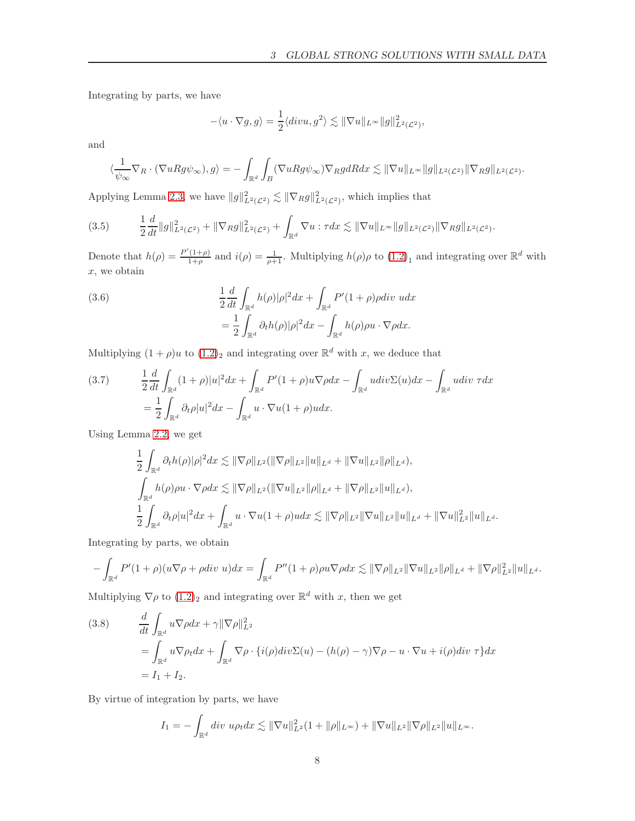Integrating by parts, we have

$$
-\langle u \cdot \nabla g, g \rangle = \frac{1}{2} \langle divu, g^2 \rangle \lesssim ||\nabla u||_{L^{\infty}} ||g||^2_{L^2(\mathcal{L}^2)},
$$

and

$$
\langle \frac{1}{\psi_{\infty}} \nabla_R \cdot (\nabla u R g \psi_{\infty}), g \rangle = - \int_{\mathbb{R}^d} \int_B (\nabla u R g \psi_{\infty}) \nabla_R g dR dx \lesssim ||\nabla u||_{L^{\infty}} ||g||_{L^2(\mathcal{L}^2)} ||\nabla_R g||_{L^2(\mathcal{L}^2)}.
$$

Applying Lemma [2.3,](#page-5-0) we have  $||g||^2_{L^2(\mathcal{L}^2)} \lesssim ||\nabla_R g||^2_{L^2(\mathcal{L}^2)}$ , which implies that

<span id="page-7-0"></span>
$$
(3.5) \qquad \frac{1}{2}\frac{d}{dt}\|g\|_{L^{2}(\mathcal{L}^{2})}^{2}+\|\nabla_{R}g\|_{L^{2}(\mathcal{L}^{2})}^{2}+\int_{\mathbb{R}^{d}}\nabla u:\tau dx\lesssim \|\nabla u\|_{L^{\infty}}\|g\|_{L^{2}(\mathcal{L}^{2})}\|\nabla_{R}g\|_{L^{2}(\mathcal{L}^{2})}.
$$

Denote that  $h(\rho) = \frac{P'(1+\rho)}{1+\rho}$  $\frac{(1+\rho)}{1+\rho}$  and  $i(\rho) = \frac{1}{\rho+1}$ . Multiplying  $h(\rho)\rho$  to  $(1.2)_1$  and integrating over  $\mathbb{R}^d$  with  $x$ , we obtain

<span id="page-7-1"></span>(3.6) 
$$
\frac{1}{2} \frac{d}{dt} \int_{\mathbb{R}^d} h(\rho) |\rho|^2 dx + \int_{\mathbb{R}^d} P'(1+\rho) \rho \, div \, u \, dx
$$

$$
= \frac{1}{2} \int_{\mathbb{R}^d} \partial_t h(\rho) |\rho|^2 dx - \int_{\mathbb{R}^d} h(\rho) \rho u \cdot \nabla \rho \, dx.
$$

Multiplying  $(1 + \rho)u$  to  $(1.2)<sub>2</sub>$  and integrating over  $\mathbb{R}^d$  with x, we deduce that

(3.7) 
$$
\frac{1}{2} \frac{d}{dt} \int_{\mathbb{R}^d} (1+\rho)|u|^2 dx + \int_{\mathbb{R}^d} P'(1+\rho)u \nabla \rho dx - \int_{\mathbb{R}^d} u \, div \Sigma(u) dx - \int_{\mathbb{R}^d} u \, div \tau dx
$$

$$
= \frac{1}{2} \int_{\mathbb{R}^d} \partial_t \rho |u|^2 dx - \int_{\mathbb{R}^d} u \cdot \nabla u (1+\rho) u dx.
$$

Using Lemma [2.2,](#page-5-2) we get

$$
\frac{1}{2} \int_{\mathbb{R}^d} \partial_t h(\rho) |\rho|^2 dx \lesssim \|\nabla \rho\|_{L^2} (\|\nabla \rho\|_{L^2} \|u\|_{L^d} + \|\nabla u\|_{L^2} \|\rho\|_{L^d}),
$$
  

$$
\int_{\mathbb{R}^d} h(\rho) \rho u \cdot \nabla \rho dx \lesssim \|\nabla \rho\|_{L^2} (\|\nabla u\|_{L^2} \|\rho\|_{L^d} + \|\nabla \rho\|_{L^2} \|u\|_{L^d}),
$$
  

$$
\frac{1}{2} \int_{\mathbb{R}^d} \partial_t \rho |u|^2 dx + \int_{\mathbb{R}^d} u \cdot \nabla u (1 + \rho) u dx \lesssim \|\nabla \rho\|_{L^2} \|\nabla u\|_{L^2} \|u\|_{L^d} + \|\nabla u\|_{L^2}^2 \|u\|_{L^d}.
$$

Integrating by parts, we obtain

$$
-\int_{\mathbb{R}^d} P'(1+\rho)(u\nabla\rho+\rho div\ u)dx = \int_{\mathbb{R}^d} P''(1+\rho)\rho u\nabla\rho dx \lesssim \|\nabla\rho\|_{L^2}\|\nabla u\|_{L^2}\|\rho\|_{L^d} + \|\nabla\rho\|_{L^2}^2\|u\|_{L^d}.
$$

Multiplying  $\nabla \rho$  to  $(1.2)_2$  $(1.2)_2$  $(1.2)_2$  and integrating over  $\mathbb{R}^d$  with x, then we get

<span id="page-7-2"></span>(3.8) 
$$
\frac{d}{dt} \int_{\mathbb{R}^d} u \nabla \rho dx + \gamma ||\nabla \rho||_{L^2}^2
$$
  
= 
$$
\int_{\mathbb{R}^d} u \nabla \rho_t dx + \int_{\mathbb{R}^d} \nabla \rho \cdot \{i(\rho) div \Sigma(u) - (h(\rho) - \gamma) \nabla \rho - u \cdot \nabla u + i(\rho) div \tau \} dx
$$
  
=  $I_1 + I_2$ .

By virtue of integration by parts, we have

$$
I_1 = -\int_{\mathbb{R}^d} \operatorname{div} \, u \rho_t \mathrm{d}x \lesssim ||\nabla u||_{L^2}^2 (1 + ||\rho||_{L^{\infty}}) + ||\nabla u||_{L^2} ||\nabla \rho||_{L^2} ||u||_{L^{\infty}}.
$$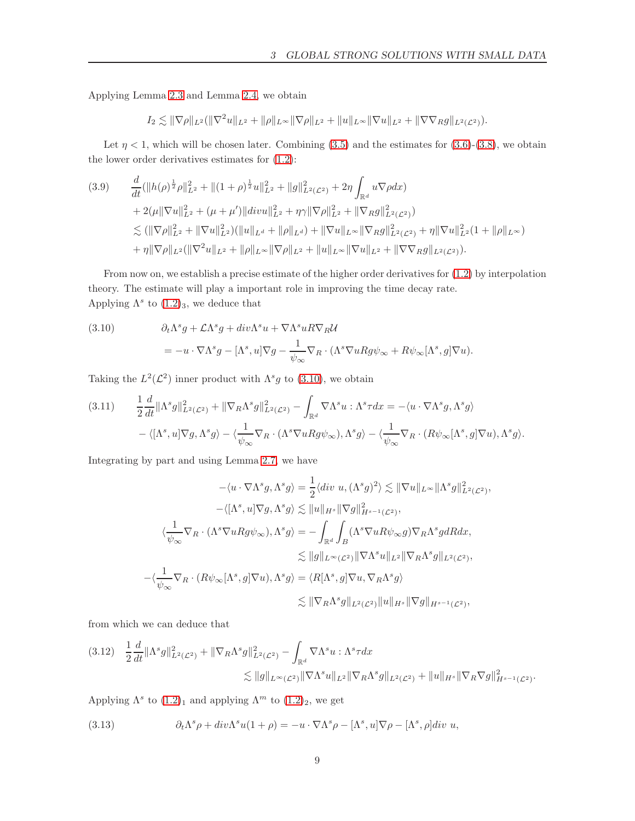Applying Lemma [2.3](#page-5-0) and Lemma [2.4,](#page-5-3) we obtain

$$
I_2 \lesssim \|\nabla \rho\|_{L^2} (\|\nabla^2 u\|_{L^2} + \|\rho\|_{L^\infty} \|\nabla \rho\|_{L^2} + \|u\|_{L^\infty} \|\nabla u\|_{L^2} + \|\nabla \nabla_R g\|_{L^2(\mathcal{L}^2)}).
$$

Let  $\eta < 1$ , which will be chosen later. Combining [\(3.5\)](#page-7-0) and the estimates for [\(3.6\)](#page-7-1)-[\(3.8\)](#page-7-2), we obtain the lower order derivatives estimates for [\(1.2\)](#page-1-2):

<span id="page-8-3"></span>
$$
(3.9) \quad \frac{d}{dt}(\|h(\rho)^{\frac{1}{2}}\rho\|_{L^{2}}^{2}+\|(1+\rho)^{\frac{1}{2}}u\|_{L^{2}}^{2}+\|g\|_{L^{2}(\mathcal{L}^{2})}^{2}+2\eta\int_{\mathbb{R}^{d}}u\nabla\rho dx) \n+2(\mu\|\nabla u\|_{L^{2}}^{2}+(\mu+\mu')\|div u\|_{L^{2}}^{2}+\eta\gamma\|\nabla\rho\|_{L^{2}}^{2}+\|\nabla_{R}g\|_{L^{2}(\mathcal{L}^{2})}^{2}) \n\lesssim (\|\nabla\rho\|_{L^{2}}^{2}+\|\nabla u\|_{L^{2}}^{2})(\|u\|_{L^{d}}+\|\rho\|_{L^{d}})+\|\nabla u\|_{L^{\infty}}\|\nabla_{R}g\|_{L^{2}(\mathcal{L}^{2})}^{2}+\eta\|\nabla u\|_{L^{2}}^{2}(1+\|\rho\|_{L^{\infty}}) \n+\eta\|\nabla\rho\|_{L^{2}}(\|\nabla^{2}u\|_{L^{2}}+\|\rho\|_{L^{\infty}}\|\nabla\rho\|_{L^{2}}+\|u\|_{L^{\infty}}\|\nabla u\|_{L^{2}}+\|\nabla\nabla_{R}g\|_{L^{2}(\mathcal{L}^{2})}).
$$

From now on, we establish a precise estimate of the higher order derivatives for [\(1.2\)](#page-1-2) by interpolation theory. The estimate will play a important role in improving the time decay rate. Applying  $\Lambda^s$  to  $(1.2)_3$ , we deduce that

<span id="page-8-0"></span>(3.10) 
$$
\partial_t \Lambda^s g + \mathcal{L} \Lambda^s g + \operatorname{div} \Lambda^s u + \nabla \Lambda^s u R \nabla_R \mathcal{U}
$$

$$
= -u \cdot \nabla \Lambda^s g - [\Lambda^s, u] \nabla g - \frac{1}{\psi_{\infty}} \nabla_R \cdot (\Lambda^s \nabla u R g \psi_{\infty} + R \psi_{\infty} [\Lambda^s, g] \nabla u).
$$

Taking the  $L^2(\mathcal{L}^2)$  inner product with  $\Lambda^s g$  to (3.[10\)](#page-8-0), we obtain

$$
(3.11) \qquad \frac{1}{2}\frac{d}{dt}\|\Lambda^s g\|_{L^2(\mathcal{L}^2)}^2 + \|\nabla_R\Lambda^s g\|_{L^2(\mathcal{L}^2)}^2 - \int_{\mathbb{R}^d}\nabla\Lambda^s u : \Lambda^s \tau dx = -\langle u \cdot \nabla\Lambda^s g, \Lambda^s g \rangle
$$

$$
-\langle [\Lambda^s, u] \nabla g, \Lambda^s g \rangle - \langle \frac{1}{\psi_{\infty}} \nabla_R \cdot (\Lambda^s \nabla u R g \psi_{\infty}), \Lambda^s g \rangle - \langle \frac{1}{\psi_{\infty}} \nabla_R \cdot (R\psi_{\infty}[\Lambda^s, g] \nabla u), \Lambda^s g \rangle.
$$

Integrating by part and using Lemma [2.7,](#page-6-2) we have

$$
-\langle u \cdot \nabla \Lambda^s g, \Lambda^s g \rangle = \frac{1}{2} \langle div \ u, (\Lambda^s g)^2 \rangle \lesssim ||\nabla u||_{L^{\infty}} ||\Lambda^s g||_{L^2(\mathcal{L}^2)}^2,
$$
  

$$
-\langle [\Lambda^s, u] \nabla g, \Lambda^s g \rangle \lesssim ||u||_{H^s} ||\nabla g||_{H^{s-1}(\mathcal{L}^2)}^2,
$$
  

$$
\langle \frac{1}{\psi_{\infty}} \nabla_R \cdot (\Lambda^s \nabla u R g \psi_{\infty}), \Lambda^s g \rangle = -\int_{\mathbb{R}^d} \int_B (\Lambda^s \nabla u R \psi_{\infty} g) \nabla_R \Lambda^s g dR dx,
$$
  

$$
\lesssim ||g||_{L^{\infty}(\mathcal{L}^2)} ||\nabla \Lambda^s u||_{L^2} ||\nabla_R \Lambda^s g||_{L^2(\mathcal{L}^2)},
$$
  

$$
-\langle \frac{1}{\psi_{\infty}} \nabla_R \cdot (R \psi_{\infty} [\Lambda^s, g] \nabla u), \Lambda^s g \rangle = \langle R[\Lambda^s, g] \nabla u, \nabla_R \Lambda^s g \rangle
$$
  

$$
\lesssim ||\nabla_R \Lambda^s g||_{L^2(\mathcal{L}^2)} ||u||_{H^s} ||\nabla g||_{H^{s-1}(\mathcal{L}^2)},
$$

from which we can deduce that

<span id="page-8-2"></span>
$$
(3.12) \quad \frac{1}{2}\frac{d}{dt}\|\Lambda^s g\|_{L^2(\mathcal{L}^2)}^2 + \|\nabla_R\Lambda^s g\|_{L^2(\mathcal{L}^2)}^2 - \int_{\mathbb{R}^d} \nabla\Lambda^s u : \Lambda^s \tau dx
$$
  

$$
\lesssim \|g\|_{L^\infty(\mathcal{L}^2)} \|\nabla\Lambda^s u\|_{L^2} \|\nabla_R\Lambda^s g\|_{L^2(\mathcal{L}^2)} + \|u\|_{H^s} \|\nabla_R\nabla g\|_{H^{s-1}(\mathcal{L}^2)}^2.
$$

Applying  $\Lambda^s$  to  $(1.2)_1$  $(1.2)_1$  $(1.2)_1$  and applying  $\Lambda^m$  to  $(1.2)_2$ , we get

<span id="page-8-1"></span>(3.13) 
$$
\partial_t \Lambda^s \rho + \operatorname{div} \Lambda^s u (1 + \rho) = -u \cdot \nabla \Lambda^s \rho - [\Lambda^s, u] \nabla \rho - [\Lambda^s, \rho] \operatorname{div} u,
$$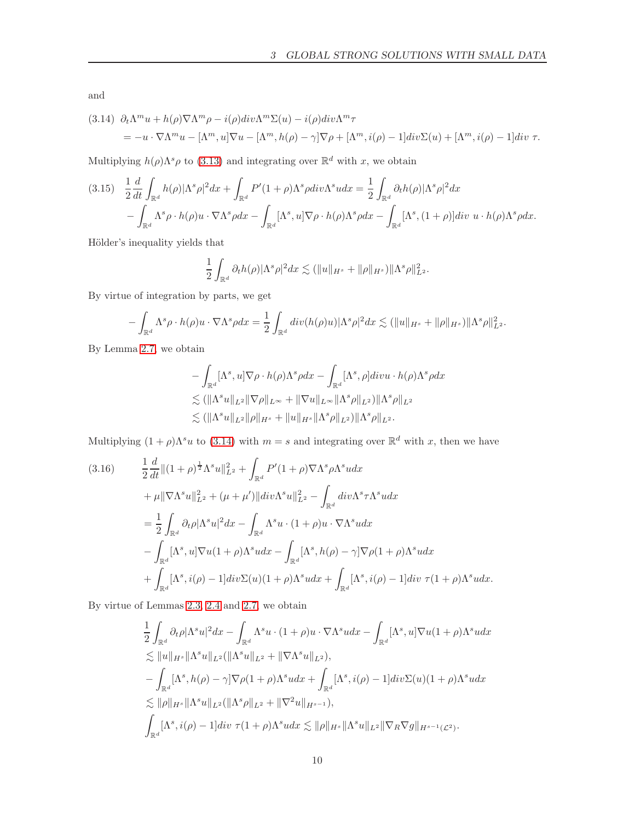and

<span id="page-9-0"></span>(3.14) 
$$
\partial_t \Lambda^m u + h(\rho) \nabla \Lambda^m \rho - i(\rho) \text{div} \Lambda^m \Sigma(u) - i(\rho) \text{div} \Lambda^m \tau
$$
  
=  $-u \cdot \nabla \Lambda^m u - [\Lambda^m, u] \nabla u - [\Lambda^m, h(\rho) - \gamma] \nabla \rho + [\Lambda^m, i(\rho) - 1] \text{div} \Sigma(u) + [\Lambda^m, i(\rho) - 1] \text{div} \tau.$ 

Multiplying  $h(\rho)\Lambda^s\rho$  to (3.[13\)](#page-8-1) and integrating over  $\mathbb{R}^d$  with x, we obtain

<span id="page-9-1"></span>
$$
(3.15) \quad \frac{1}{2}\frac{d}{dt}\int_{\mathbb{R}^d}h(\rho)|\Lambda^s\rho|^2dx + \int_{\mathbb{R}^d}P'(1+\rho)\Lambda^s\rho div\Lambda^s u dx = \frac{1}{2}\int_{\mathbb{R}^d}\partial_t h(\rho)|\Lambda^s\rho|^2dx - \int_{\mathbb{R}^d}\Lambda^s\rho \cdot h(\rho)u \cdot \nabla\Lambda^s\rho dx - \int_{\mathbb{R}^d}[\Lambda^s, u]\nabla\rho \cdot h(\rho)\Lambda^s\rho dx - \int_{\mathbb{R}^d}[\Lambda^s, (1+\rho)]div \ u \cdot h(\rho)\Lambda^s\rho dx.
$$

Hölder's inequality yields that

$$
\frac{1}{2}\int_{\mathbb{R}^d} \partial_t h(\rho) |\Lambda^s \rho|^2 dx \lesssim (\|u\|_{H^s} + \|\rho\|_{H^s}) \|\Lambda^s \rho\|_{L^2}^2.
$$

By virtue of integration by parts, we get

$$
-\int_{\mathbb{R}^d} \Lambda^s \rho \cdot h(\rho) u \cdot \nabla \Lambda^s \rho dx = \frac{1}{2} \int_{\mathbb{R}^d} div(h(\rho) u) |\Lambda^s \rho|^2 dx \lesssim (\|u\|_{H^s} + \|\rho\|_{H^s}) \|\Lambda^s \rho\|_{L^2}^2.
$$

By Lemma [2.7,](#page-6-2) we obtain

$$
- \int_{\mathbb{R}^d} [\Lambda^s, u] \nabla \rho \cdot h(\rho) \Lambda^s \rho dx - \int_{\mathbb{R}^d} [\Lambda^s, \rho] \operatorname{div} u \cdot h(\rho) \Lambda^s \rho dx
$$
  
\n
$$
\lesssim (\|\Lambda^s u\|_{L^2} \|\nabla \rho\|_{L^\infty} + \|\nabla u\|_{L^\infty} \|\Lambda^s \rho\|_{L^2}) \|\Lambda^s \rho\|_{L^2}
$$
  
\n
$$
\lesssim (\|\Lambda^s u\|_{L^2} \|\rho\|_{H^s} + \|u\|_{H^s} \|\Lambda^s \rho\|_{L^2}) \|\Lambda^s \rho\|_{L^2}.
$$

Multiplying  $(1 + \rho)\Lambda^s u$  to  $(3.14)$  $(3.14)$  with  $m = s$  and integrating over  $\mathbb{R}^d$  with x, then we have

$$
(3.16) \qquad \frac{1}{2}\frac{d}{dt}\|(1+\rho)^{\frac{1}{2}}\Lambda^{s}u\|_{L^{2}}^{2} + \int_{\mathbb{R}^{d}}P'(1+\rho)\nabla\Lambda^{s}\rho\Lambda^{s}udx
$$

$$
+\mu\|\nabla\Lambda^{s}u\|_{L^{2}}^{2} + (\mu+\mu')\|div\Lambda^{s}u\|_{L^{2}}^{2} - \int_{\mathbb{R}^{d}}div\Lambda^{s}\tau\Lambda^{s}udx
$$

$$
= \frac{1}{2}\int_{\mathbb{R}^{d}}\partial_{t}\rho|\Lambda^{s}u|^{2}dx - \int_{\mathbb{R}^{d}}\Lambda^{s}u \cdot(1+\rho)u\cdot\nabla\Lambda^{s}udx
$$

$$
-\int_{\mathbb{R}^{d}}[\Lambda^{s},u]\nabla u(1+\rho)\Lambda^{s}udx - \int_{\mathbb{R}^{d}}[\Lambda^{s},h(\rho)-\gamma]\nabla\rho(1+\rho)\Lambda^{s}udx
$$

$$
+\int_{\mathbb{R}^{d}}[\Lambda^{s},i(\rho)-1]div\Sigma(u)(1+\rho)\Lambda^{s}udx + \int_{\mathbb{R}^{d}}[\Lambda^{s},i(\rho)-1]div\tau(1+\rho)\Lambda^{s}udx.
$$

By virtue of Lemmas [2.3,](#page-5-0) [2.4](#page-5-3) and [2.7,](#page-6-2) we obtain

$$
\begin{split}\n&\frac{1}{2}\int_{\mathbb{R}^d}\partial_t\rho|\Lambda^su|^2dx - \int_{\mathbb{R}^d}\Lambda^su \cdot (1+\rho)u \cdot \nabla \Lambda^s u dx - \int_{\mathbb{R}^d}[\Lambda^s, u] \nabla u (1+\rho)\Lambda^s u dx \\
&\lesssim \|u\|_{H^s} \|\Lambda^su\|_{L^2} (\|\Lambda^su\|_{L^2} + \|\nabla \Lambda^su\|_{L^2}), \\
&\quad - \int_{\mathbb{R}^d}[\Lambda^s, h(\rho) - \gamma] \nabla \rho (1+\rho) \Lambda^su dx + \int_{\mathbb{R}^d}[\Lambda^s, i(\rho) - 1]div\Sigma(u) (1+\rho) \Lambda^su dx \\
&\lesssim \|\rho\|_{H^s} \|\Lambda^su\|_{L^2} (\|\Lambda^s \rho\|_{L^2} + \|\nabla^2u\|_{H^{s-1}}), \\
&\int_{\mathbb{R}^d}[\Lambda^s, i(\rho) - 1]div \tau (1+\rho) \Lambda^su dx \lesssim \|\rho\|_{H^s} \|\Lambda^su\|_{L^2} \|\nabla_R\nabla g\|_{H^{s-1}(\mathcal{L}^2)}.\n\end{split}
$$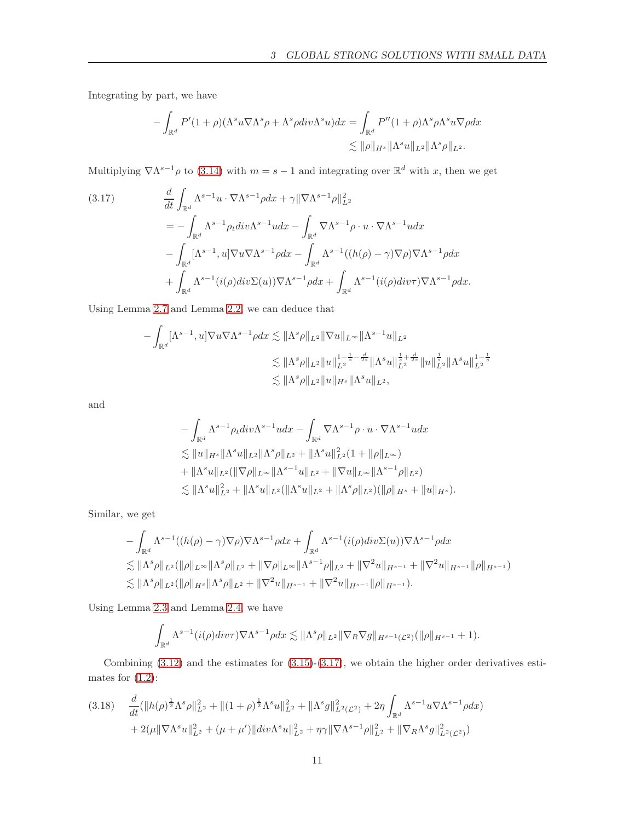Integrating by part, we have

$$
- \int_{\mathbb{R}^d} P'(1+\rho)(\Lambda^s u \nabla \Lambda^s \rho + \Lambda^s \rho \operatorname{div}\Lambda^s u) dx = \int_{\mathbb{R}^d} P''(1+\rho) \Lambda^s \rho \Lambda^s u \nabla \rho dx
$$
  

$$
\lesssim \|\rho\|_{H^s} \|\Lambda^s u\|_{L^2} \|\Lambda^s \rho\|_{L^2}.
$$

Multiplying  $\nabla \Lambda^{s-1} \rho$  to (3.[14\)](#page-9-0) with  $m = s - 1$  and integrating over  $\mathbb{R}^d$  with x, then we get

<span id="page-10-0"></span>(3.17) 
$$
\frac{d}{dt} \int_{\mathbb{R}^d} \Lambda^{s-1} u \cdot \nabla \Lambda^{s-1} \rho dx + \gamma ||\nabla \Lambda^{s-1} \rho||_{L^2}^2
$$
  
\n
$$
= - \int_{\mathbb{R}^d} \Lambda^{s-1} \rho_t div \Lambda^{s-1} u dx - \int_{\mathbb{R}^d} \nabla \Lambda^{s-1} \rho \cdot u \cdot \nabla \Lambda^{s-1} u dx
$$
  
\n
$$
- \int_{\mathbb{R}^d} [\Lambda^{s-1}, u] \nabla u \nabla \Lambda^{s-1} \rho dx - \int_{\mathbb{R}^d} \Lambda^{s-1} ((h(\rho) - \gamma) \nabla \rho) \nabla \Lambda^{s-1} \rho dx
$$
  
\n
$$
+ \int_{\mathbb{R}^d} \Lambda^{s-1} (i(\rho) div \Sigma(u)) \nabla \Lambda^{s-1} \rho dx + \int_{\mathbb{R}^d} \Lambda^{s-1} (i(\rho) div \tau) \nabla \Lambda^{s-1} \rho dx.
$$

Using Lemma [2.7](#page-6-2) and Lemma [2.2,](#page-5-2) we can deduce that

$$
- \int_{\mathbb{R}^d} [\Lambda^{s-1}, u] \nabla u \nabla \Lambda^{s-1} \rho dx \lesssim \|\Lambda^s \rho\|_{L^2} \|\nabla u\|_{L^\infty} \|\Lambda^{s-1} u\|_{L^2}
$$
  

$$
\lesssim \|\Lambda^s \rho\|_{L^2} \|u\|_{L^2}^{1 - \frac{1}{s} - \frac{d}{2s}} \|\Lambda^s u\|_{L^2}^{\frac{1}{s} + \frac{d}{2s}} \|u\|_{L^2}^{\frac{1}{s}} \|\Lambda^s u\|_{L^2}^{1 - \frac{1}{s}}
$$
  

$$
\lesssim \|\Lambda^s \rho\|_{L^2} \|u\|_{H^s} \|\Lambda^s u\|_{L^2},
$$

and

$$
- \int_{\mathbb{R}^d} \Lambda^{s-1} \rho_t div \Lambda^{s-1} u dx - \int_{\mathbb{R}^d} \nabla \Lambda^{s-1} \rho \cdot u \cdot \nabla \Lambda^{s-1} u dx
$$
  
\n
$$
\lesssim ||u||_{H^s} ||\Lambda^s u||_{L^2} ||\Lambda^s \rho||_{L^2} + ||\Lambda^s u||_{L^2}^2 (1 + ||\rho||_{L^\infty})
$$
  
\n
$$
+ ||\Lambda^s u||_{L^2} (||\nabla \rho||_{L^\infty} ||\Lambda^{s-1} u||_{L^2} + ||\nabla u||_{L^\infty} ||\Lambda^{s-1} \rho||_{L^2})
$$
  
\n
$$
\lesssim ||\Lambda^s u||_{L^2}^2 + ||\Lambda^s u||_{L^2} (||\Lambda^s u||_{L^2} + ||\Lambda^s \rho||_{L^2}) (||\rho||_{H^s} + ||u||_{H^s}).
$$

Similar, we get

$$
- \int_{\mathbb{R}^d} \Lambda^{s-1}((h(\rho) - \gamma) \nabla \rho) \nabla \Lambda^{s-1} \rho dx + \int_{\mathbb{R}^d} \Lambda^{s-1}(i(\rho) div \Sigma(u)) \nabla \Lambda^{s-1} \rho dx
$$
  
\n
$$
\lesssim \|\Lambda^s \rho\|_{L^2} (\|\rho\|_{L^\infty} \|\Lambda^s \rho\|_{L^2} + \|\nabla \rho\|_{L^\infty} \|\Lambda^{s-1} \rho\|_{L^2} + \|\nabla^2 u\|_{H^{s-1}} + \|\nabla^2 u\|_{H^{s-1}} \|\rho\|_{H^{s-1}})
$$
  
\n
$$
\lesssim \|\Lambda^s \rho\|_{L^2} (\|\rho\|_{H^s} \|\Lambda^s \rho\|_{L^2} + \|\nabla^2 u\|_{H^{s-1}} + \|\nabla^2 u\|_{H^{s-1}} \|\rho\|_{H^{s-1}}).
$$

Using Lemma [2.3](#page-5-0) and Lemma [2.4,](#page-5-3) we have

$$
\int_{\mathbb{R}^d} \Lambda^{s-1}(i(\rho)div\tau)\nabla \Lambda^{s-1}\rho dx \lesssim \|\Lambda^s \rho\|_{L^2} \|\nabla_R \nabla g\|_{H^{s-1}(\mathcal{L}^2)} (\|\rho\|_{H^{s-1}}+1).
$$

Combining  $(3.12)$  and the estimates for  $(3.15)-(3.17)$  $(3.15)-(3.17)$ , we obtain the higher order derivatives estimates for  $(1.2)$ :

<span id="page-10-1"></span>
$$
(3.18) \quad \frac{d}{dt}(\|h(\rho)^{\frac{1}{2}}\Lambda^{s}\rho\|_{L^{2}}^{2}+\|(1+\rho)^{\frac{1}{2}}\Lambda^{s}u\|_{L^{2}}^{2}+\|\Lambda^{s}g\|_{L^{2}(\mathcal{L}^{2})}^{2}+2\eta\int_{\mathbb{R}^{d}}\Lambda^{s-1}u\nabla\Lambda^{s-1}\rho dx) +2(\mu\|\nabla\Lambda^{s}u\|_{L^{2}}^{2}+(\mu+\mu')\|div\Lambda^{s}u\|_{L^{2}}^{2}+\eta\gamma\|\nabla\Lambda^{s-1}\rho\|_{L^{2}}^{2}+\|\nabla_{R}\Lambda^{s}g\|_{L^{2}(\mathcal{L}^{2})}^{2})
$$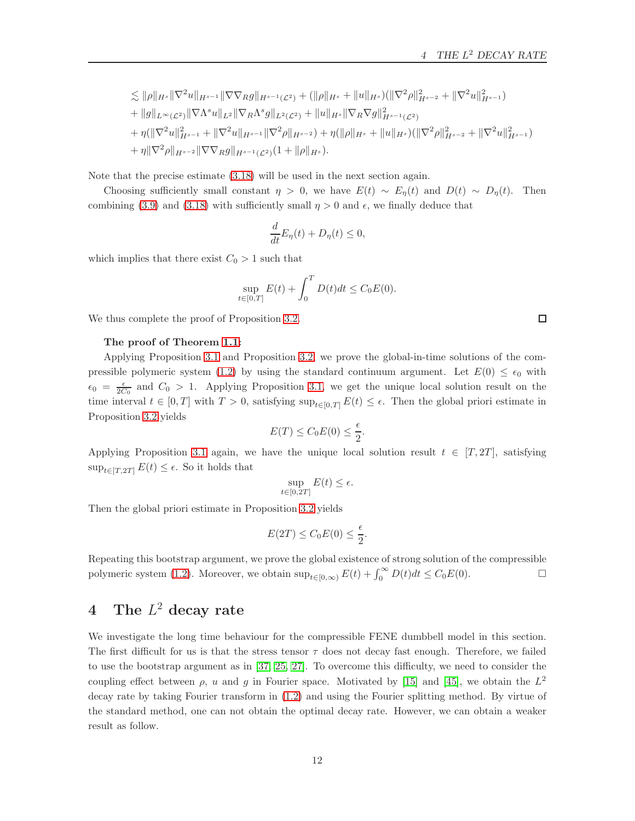$$
\leq \|\rho\|_{H^s} \|\nabla^2 u\|_{H^{s-1}} \|\nabla \nabla_R g\|_{H^{s-1}(\mathcal{L}^2)} + (\|\rho\|_{H^s} + \|u\|_{H^s}) (\|\nabla^2 \rho\|_{H^{s-2}}^2 + \|\nabla^2 u\|_{H^{s-1}}^2)
$$
  
+ 
$$
\|g\|_{L^{\infty}(\mathcal{L}^2)} \|\nabla \Lambda^s u\|_{L^2} \|\nabla_R \Lambda^s g\|_{L^2(\mathcal{L}^2)} + \|u\|_{H^s} \|\nabla_R \nabla g\|_{H^{s-1}(\mathcal{L}^2)}^2
$$
  
+ 
$$
\eta(\|\nabla^2 u\|_{H^{s-1}}^2 + \|\nabla^2 u\|_{H^{s-1}} \|\nabla^2 \rho\|_{H^{s-2}}) + \eta(\|\rho\|_{H^s} + \|u\|_{H^s}) (\|\nabla^2 \rho\|_{H^{s-2}}^2 + \|\nabla^2 u\|_{H^{s-1}}^2)
$$
  
+ 
$$
\eta \|\nabla^2 \rho\|_{H^{s-2}} \|\nabla \nabla_R g\|_{H^{s-1}(\mathcal{L}^2)} (1 + \|\rho\|_{H^s}).
$$

Note that the precise estimate [\(3.18\)](#page-10-1) will be used in the next section again.

Choosing sufficiently small constant  $\eta > 0$ , we have  $E(t) \sim E_n(t)$  and  $D(t) \sim D_n(t)$ . Then combining [\(3.9\)](#page-8-3) and [\(3.18\)](#page-10-1) with sufficiently small  $\eta > 0$  and  $\epsilon$ , we finally deduce that

$$
\frac{d}{dt}E_{\eta}(t) + D_{\eta}(t) \leq 0,
$$

which implies that there exist  $C_0 > 1$  such that

$$
\sup_{t \in [0,T]} E(t) + \int_0^T D(t)dt \le C_0 E(0).
$$

We thus complete the proof of Proposition [3.2.](#page-6-3)

#### The proof of Theorem [1.1:](#page-3-0)

Applying Proposition [3.1](#page-6-1) and Proposition [3.2,](#page-6-3) we prove the global-in-time solutions of the com-pressible polymeric system [\(1.2\)](#page-1-2) by using the standard continuum argument. Let  $E(0) \leq \epsilon_0$  with  $\epsilon_0 = \frac{\epsilon}{2C_0}$  and  $C_0 > 1$ . Applying Proposition [3.1,](#page-6-1) we get the unique local solution result on the time interval  $t \in [0, T]$  with  $T > 0$ , satisfying  $\sup_{t \in [0, T]} E(t) \leq \epsilon$ . Then the global priori estimate in Proposition [3.2](#page-6-3) yields

$$
E(T) \le C_0 E(0) \le \frac{\epsilon}{2}.
$$

Applying Proposition [3.1](#page-6-1) again, we have the unique local solution result  $t \in [T, 2T]$ , satisfying  $\sup_{t\in[T,2T]} E(t) \leq \epsilon$ . So it holds that

$$
\sup_{t \in [0,2T]} E(t) \le \epsilon.
$$

Then the global priori estimate in Proposition [3.2](#page-6-3) yields

$$
E(2T) \le C_0 E(0) \le \frac{\epsilon}{2}.
$$

Repeating this bootstrap argument, we prove the global existence of strong solution of the compressible polymeric system [\(1.2\)](#page-1-2). Moreover, we obtain  $\sup_{t\in[0,\infty)} E(t) + \int_0^\infty D(t)dt \leq C_0 E(0)$ .

## <span id="page-11-0"></span>4 The  $L^2$  decay rate

We investigate the long time behaviour for the compressible FENE dumbbell model in this section. The first difficult for us is that the stress tensor  $\tau$  does not decay fast enough. Therefore, we failed to use the bootstrap argument as in [\[37,](#page-24-6) [25,](#page-24-7) [27\]](#page-24-0). To overcome this difficulty, we need to consider the coupling effect between  $\rho$ , u and g in Fourier space. Motivated by [\[15\]](#page-23-15) and [\[45\]](#page-25-5), we obtain the  $L^2$ decay rate by taking Fourier transform in [\(1.2\)](#page-1-2) and using the Fourier splitting method. By virtue of the standard method, one can not obtain the optimal decay rate. However, we can obtain a weaker result as follow.

 $\Box$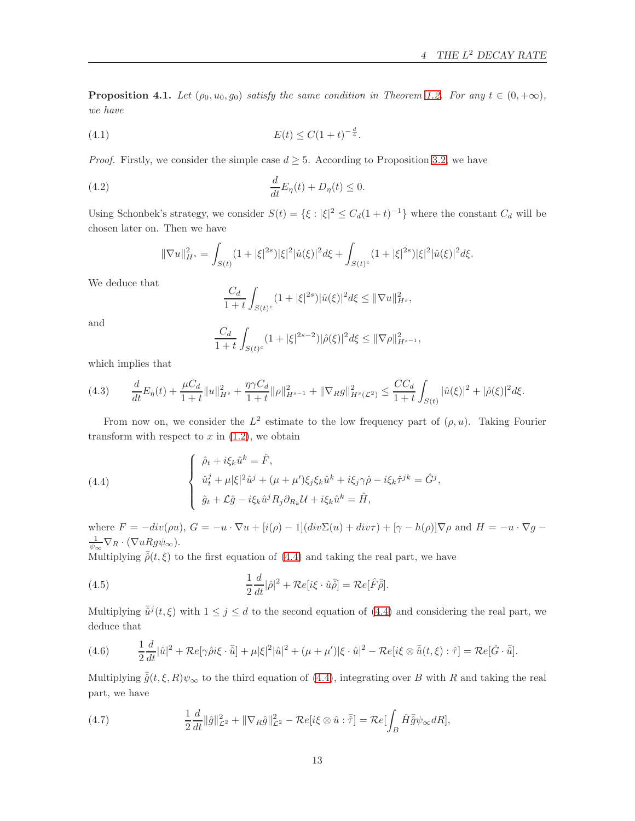<span id="page-12-3"></span>**Proposition 4.1.** Let  $(\rho_0, u_0, g_0)$  satisfy the same condition in Theorem [1.2.](#page-3-1) For any  $t \in (0, +\infty)$ , we have

(4.1) 
$$
E(t) \le C(1+t)^{-\frac{d}{4}}.
$$

*Proof.* Firstly, we consider the simple case  $d \geq 5$ . According to Proposition [3.2,](#page-6-3) we have

<span id="page-12-2"></span>(4.2) 
$$
\frac{d}{dt}E_{\eta}(t) + D_{\eta}(t) \leq 0.
$$

Using Schonbek's strategy, we consider  $S(t) = \{\xi : |\xi|^2 \leq C_d(1+t)^{-1}\}\$  where the constant  $C_d$  will be chosen later on. Then we have

$$
\|\nabla u\|_{H^s}^2 = \int_{S(t)} (1+|\xi|^{2s})|\xi|^2 |\hat{u}(\xi)|^2 d\xi + \int_{S(t)^c} (1+|\xi|^{2s})|\xi|^2 |\hat{u}(\xi)|^2 d\xi.
$$

We deduce that

$$
\frac{C_d}{1+t} \int_{S(t)^c} (1+|\xi|^{2s}) |\hat{u}(\xi)|^2 d\xi \le ||\nabla u||_{H^s}^2,
$$

and

$$
\frac{C_d}{1+t} \int_{S(t)^c} (1+|\xi|^{2s-2}) |\hat{\rho}(\xi)|^2 d\xi \le ||\nabla \rho||_{H^{s-1}}^2,
$$

which implies that

<span id="page-12-1"></span>
$$
(4.3) \qquad \frac{d}{dt}E_{\eta}(t) + \frac{\mu C_d}{1+t}||u||_{H^s}^2 + \frac{\eta \gamma C_d}{1+t}||\rho||_{H^{s-1}}^2 + ||\nabla_R g||_{H^s(\mathcal{L}^2)}^2 \leq \frac{CC_d}{1+t} \int_{S(t)} |\hat{u}(\xi)|^2 + |\hat{\rho}(\xi)|^2 d\xi.
$$

From now on, we consider the  $L^2$  estimate to the low frequency part of  $(\rho, u)$ . Taking Fourier transform with respect to  $x$  in  $(1.2)$ , we obtain

<span id="page-12-0"></span>(4.4) 
$$
\begin{cases} \hat{\rho}_t + i\xi_k \hat{u}^k = \hat{F}, \\ \hat{u}_t^j + \mu |\xi|^2 \hat{u}^j + (\mu + \mu')\xi_j \xi_k \hat{u}^k + i\xi_j \gamma \hat{\rho} - i\xi_k \hat{\tau}^{jk} = \hat{G}^j, \\ \hat{g}_t + \mathcal{L}\hat{g} - i\xi_k \hat{u}^j R_j \partial_{R_k} \mathcal{U} + i\xi_k \hat{u}^k = \hat{H}, \end{cases}
$$

where  $F = -div(\rho u)$ ,  $G = -u \cdot \nabla u + [i(\rho) - 1](div\Sigma(u) + div\tau) + [\gamma - h(\rho)]\nabla \rho$  and  $H = -u \cdot \nabla g$  $\frac{1}{\psi_{\infty}}\nabla_R\cdot(\nabla uRg\psi_{\infty}).$ 

Multiplying  $\bar{\hat{\rho}}(t,\xi)$  to the first equation of [\(4.4\)](#page-12-0) and taking the real part, we have

(4.5) 
$$
\frac{1}{2}\frac{d}{dt}|\hat{\rho}|^2 + \mathcal{R}e[i\xi \cdot \hat{u}\bar{\rho}] = \mathcal{R}e[\hat{F}\bar{\hat{\rho}}].
$$

Multiplying  $\bar{\hat{u}}^j(t,\xi)$  with  $1 \leq j \leq d$  to the second equation of [\(4.4\)](#page-12-0) and considering the real part, we deduce that

(4.6) 
$$
\frac{1}{2}\frac{d}{dt}|\hat{u}|^2 + \mathcal{R}e[\gamma\hat{\rho}i\xi \cdot \bar{\hat{u}}] + \mu|\xi|^2|\hat{u}|^2 + (\mu + \mu')|\xi \cdot \hat{u}|^2 - \mathcal{R}e[i\xi \otimes \bar{\hat{u}}(t,\xi) : \hat{\tau}] = \mathcal{R}e[\hat{G} \cdot \bar{\hat{u}}].
$$

Multiplying  $\bar{\hat{g}}(t,\xi,R)\psi_{\infty}$  to the third equation of [\(4.4\)](#page-12-0), integrating over B with R and taking the real part, we have

(4.7) 
$$
\frac{1}{2}\frac{d}{dt}\|\hat{g}\|_{\mathcal{L}^2}^2 + \|\nabla_R \hat{g}\|_{\mathcal{L}^2}^2 - \mathcal{R}e[i\xi \otimes \hat{u} : \overline{\hat{\tau}}] = \mathcal{R}e[\int_B \hat{H}\overline{\hat{g}}\psi_\infty dR],
$$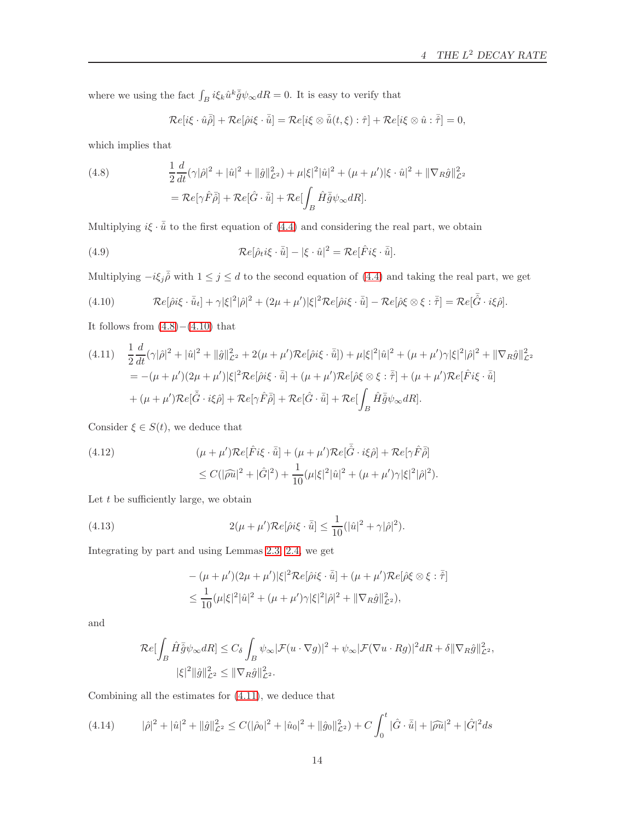where we using the fact  $\int_B i \xi_k \hat{u}^k \bar{\hat{g}} \psi_\infty dR = 0$ . It is easy to verify that

$$
\mathcal{R}e[i\xi \cdot \hat{u}\overline{\hat{\rho}}] + \mathcal{R}e[\hat{\rho}i\xi \cdot \overline{\hat{u}}] = \mathcal{R}e[i\xi \otimes \overline{\hat{u}}(t,\xi) : \hat{\tau}] + \mathcal{R}e[i\xi \otimes \hat{u} : \overline{\hat{\tau}}] = 0,
$$

which implies that

<span id="page-13-0"></span>(4.8) 
$$
\frac{1}{2}\frac{d}{dt}(\gamma|\hat{\rho}|^2 + |\hat{u}|^2 + ||\hat{g}||^2_{\mathcal{L}^2}) + \mu|\xi|^2|\hat{u}|^2 + (\mu + \mu')|\xi \cdot \hat{u}|^2 + ||\nabla_R \hat{g}||^2_{\mathcal{L}^2}
$$

$$
= \mathcal{R}e[\gamma \hat{F}\bar{\hat{\rho}}] + \mathcal{R}e[\hat{G}\cdot\bar{\hat{u}}] + \mathcal{R}e[\int_B \hat{H}\bar{\hat{g}}\psi_\infty dR].
$$

Multiplying  $i\xi \cdot \bar{\hat{u}}$  to the first equation of [\(4.4\)](#page-12-0) and considering the real part, we obtain

(4.9) 
$$
\mathcal{R}e[\hat{\rho}_t i \xi \cdot \bar{\hat{u}}] - |\xi \cdot \hat{u}|^2 = \mathcal{R}e[\hat{F} i \xi \cdot \bar{\hat{u}}].
$$

Multiplying  $-i\xi_j\bar{\hat{\rho}}$  with  $1 \leq j \leq d$  to the second equation of [\(4.4\)](#page-12-0) and taking the real part, we get

<span id="page-13-1"></span>(4.10) 
$$
\mathcal{R}e[\hat{\rho}i\xi\cdot\bar{\hat{u}}_t]+\gamma|\xi|^2|\hat{\rho}|^2+(2\mu+\mu')|\xi|^2\mathcal{R}e[\hat{\rho}i\xi\cdot\bar{\hat{u}}]-\mathcal{R}e[\hat{\rho}\xi\otimes\xi:\bar{\hat{\tau}}]=\mathcal{R}e[\bar{\hat{G}}\cdot i\xi\hat{\rho}].
$$

It follows from  $(4.8)-(4.10)$  $(4.8)-(4.10)$  that

<span id="page-13-2"></span>
$$
(4.11) \quad \frac{1}{2}\frac{d}{dt}(\gamma|\hat{\rho}|^2 + |\hat{u}|^2 + \|\hat{g}\|_{\mathcal{L}^2}^2 + 2(\mu + \mu')\mathcal{R}e[\hat{\rho}i\xi \cdot \overline{\hat{u}}]) + \mu|\xi|^2|\hat{u}|^2 + (\mu + \mu')\gamma|\xi|^2|\hat{\rho}|^2 + \|\nabla_R\hat{g}\|_{\mathcal{L}^2}^2
$$
  
\n
$$
= -(\mu + \mu')(2\mu + \mu')|\xi|^2\mathcal{R}e[\hat{\rho}i\xi \cdot \overline{\hat{u}}] + (\mu + \mu')\mathcal{R}e[\hat{\rho}\xi \otimes \xi \cdot \overline{\hat{\tau}}] + (\mu + \mu')\mathcal{R}e[\hat{F}i\xi \cdot \overline{\hat{u}}]
$$
  
\n
$$
+ (\mu + \mu')\mathcal{R}e[\overline{\hat{G}} \cdot i\xi\hat{\rho}] + \mathcal{R}e[\gamma\hat{F}\overline{\hat{\rho}}] + \mathcal{R}e[\hat{G} \cdot \overline{\hat{u}}] + \mathcal{R}e[\int_B \hat{H}\overline{\hat{g}}\psi_\infty dR].
$$

Consider  $\xi \in S(t)$ , we deduce that

(4.12) 
$$
(\mu + \mu') \mathcal{R}e[\hat{F}i\xi \cdot \bar{\hat{u}}] + (\mu + \mu') \mathcal{R}e[\bar{\hat{G}} \cdot i\xi\hat{\rho}] + \mathcal{R}e[\gamma\hat{F}\bar{\hat{\rho}}]
$$

$$
\leq C(|\hat{\rho}\hat{u}|^2 + |\hat{G}|^2) + \frac{1}{10}(\mu|\xi|^2|\hat{u}|^2 + (\mu + \mu')\gamma|\xi|^2|\hat{\rho}|^2).
$$

Let  $t$  be sufficiently large, we obtain

(4.13) 
$$
2(\mu + \mu') \mathcal{R}e[\hat{\rho} i\xi \cdot \overline{\hat{u}}] \leq \frac{1}{10} (|\hat{u}|^2 + \gamma |\hat{\rho}|^2).
$$

Integrating by part and using Lemmas [2.3,](#page-5-0) [2.4,](#page-5-3) we get

$$
-(\mu + \mu')(2\mu + \mu')|\xi|^2 \mathcal{R}e[\hat{\rho} i\xi \cdot \overline{\hat{u}}] + (\mu + \mu')\mathcal{R}e[\hat{\rho}\xi \otimes \xi : \overline{\hat{\tau}}]
$$
  

$$
\leq \frac{1}{10}(\mu|\xi|^2|\hat{u}|^2 + (\mu + \mu')\gamma|\xi|^2|\hat{\rho}|^2 + \|\nabla_R \hat{g}\|_{\mathcal{L}^2}^2),
$$

and

$$
\mathcal{R}e[\int_B \hat{H}\bar{\hat{g}}\psi_\infty dR] \leq C_\delta \int_B \psi_\infty |\mathcal{F}(u \cdot \nabla g)|^2 + \psi_\infty |\mathcal{F}(\nabla u \cdot Rg)|^2 dR + \delta \|\nabla_R \hat{g}\|_{\mathcal{L}^2}^2,
$$
  

$$
|\xi|^2 \|\hat{g}\|_{\mathcal{L}^2}^2 \leq \|\nabla_R \hat{g}\|_{\mathcal{L}^2}^2.
$$

Combining all the estimates for [\(4.11\)](#page-13-2), we deduce that

$$
(4.14) \qquad |\hat{\rho}|^2 + |\hat{u}|^2 + \|\hat{g}\|_{\mathcal{L}^2}^2 \le C(|\hat{\rho}_0|^2 + |\hat{u}_0|^2 + \|\hat{g}_0\|_{\mathcal{L}^2}^2) + C \int_0^t |\hat{G} \cdot \bar{\hat{u}}| + |\hat{\rho}\hat{u}|^2 + |\hat{G}|^2 ds
$$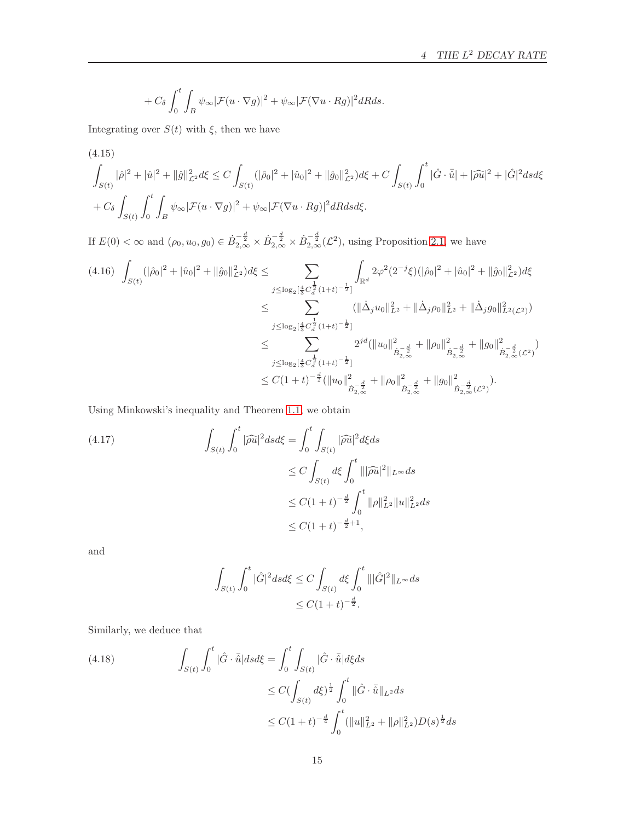$$
+ C_{\delta} \int_0^t \int_B \psi_{\infty} |\mathcal{F}(u \cdot \nabla g)|^2 + \psi_{\infty} |\mathcal{F}(\nabla u \cdot Rg)|^2 dR ds.
$$

Integrating over  $S(t)$  with  $\xi$ , then we have

<span id="page-14-0"></span>(4.15)  
\n
$$
\int_{S(t)} |\hat{\rho}|^2 + |\hat{u}|^2 + ||\hat{g}||^2_{\mathcal{L}^2} d\xi \le C \int_{S(t)} (|\hat{\rho}_0|^2 + |\hat{u}_0|^2 + ||\hat{g}_0||^2_{\mathcal{L}^2}) d\xi + C \int_{S(t)} \int_0^t |\hat{G} \cdot \bar{\hat{u}}| + |\hat{\rho}\hat{u}|^2 + |\hat{G}|^2 ds d\xi
$$
\n
$$
+ C_{\delta} \int_{S(t)} \int_0^t \int_B \psi_{\infty} |\mathcal{F}(u \cdot \nabla g)|^2 + \psi_{\infty} |\mathcal{F}(\nabla u \cdot Rg)|^2 dR ds d\xi.
$$

If  $E(0) < \infty$  and  $(\rho_0, u_0, g_0) \in \dot{B}_{2,\infty}^{-\frac{d}{2}} \times \dot{B}_{2,\infty}^{-\frac{d}{2}} \times \dot{B}_{2,\infty}^{-\frac{d}{2}}(\mathcal{L}^2)$ , using Proposition [2.1,](#page-4-1) we have

$$
(4.16) \int_{S(t)} (|\hat{\rho}_0|^2 + |\hat{u}_0|^2 + ||\hat{g}_0||_{\mathcal{L}^2}^2) d\xi \le \sum_{j \le \log_2[\frac{4}{3}C_d^{\frac{1}{2}}(1+t)^{-\frac{1}{2}}]} \int_{\mathbb{R}^d} 2\varphi^2 (2^{-j}\xi)(|\hat{\rho}_0|^2 + |\hat{u}_0|^2 + ||\hat{g}_0||_{\mathcal{L}^2}^2) d\xi
$$
  
\n
$$
\le \sum_{j \le \log_2[\frac{4}{3}C_d^{\frac{1}{2}}(1+t)^{-\frac{1}{2}}]} (||\Delta_j u_0||_{L^2}^2 + ||\Delta_j \rho_0||_{L^2}^2 + ||\Delta_j g_0||_{L^2(\mathcal{L}^2)}^2)
$$
  
\n
$$
\le \sum_{j \le \log_2[\frac{4}{3}C_d^{\frac{1}{2}}(1+t)^{-\frac{1}{2}}]} 2^{jd} (||u_0||_{\dot{B}_{2,\infty}^{-\frac{d}{2}}}^2 + ||\rho_0||_{\dot{B}_{2,\infty}^{-\frac{d}{2}}}^2 + ||g_0||_{\dot{B}_{2,\infty}^{-\frac{d}{2}}(\mathcal{L}^2)}^2)
$$
  
\n
$$
\le C(1+t)^{-\frac{d}{2}} (||u_0||_{\dot{B}_{2,\infty}^{-\frac{d}{2}}}^2 + ||\rho_0||_{\dot{B}_{2,\infty}^{-\frac{d}{2}}}^2 + ||g_0||_{\dot{B}_{2,\infty}^{-\frac{d}{2}}(\mathcal{L}^2)}^2).
$$

Using Minkowski's inequality and Theorem [1.1,](#page-3-0) we obtain

<span id="page-14-1"></span>
$$
(4.17) \qquad \int_{S(t)} \int_0^t |\widehat{\rho u}|^2 ds d\xi = \int_0^t \int_{S(t)} |\widehat{\rho u}|^2 d\xi ds
$$
  

$$
\leq C \int_{S(t)} d\xi \int_0^t |||\widehat{\rho u}|^2 ||_{L^{\infty}} ds
$$
  

$$
\leq C(1+t)^{-\frac{d}{2}} \int_0^t ||\rho||_{L^2}^2 ||u||_{L^2}^2 ds
$$
  

$$
\leq C(1+t)^{-\frac{d}{2}+1},
$$

and

$$
\int_{S(t)} \int_0^t |\hat{G}|^2 ds d\xi \le C \int_{S(t)} d\xi \int_0^t |||\hat{G}|^2 ||_{L^\infty} ds
$$
  

$$
\le C(1+t)^{-\frac{d}{2}}.
$$

Similarly, we deduce that

<span id="page-14-2"></span>(4.18) 
$$
\int_{S(t)} \int_0^t |\hat{G} \cdot \bar{\hat{u}}| ds d\xi = \int_0^t \int_{S(t)} |\hat{G} \cdot \bar{\hat{u}}| d\xi ds
$$

$$
\leq C (\int_{S(t)} d\xi)^{\frac{1}{2}} \int_0^t ||\hat{G} \cdot \bar{\hat{u}}||_{L^2} ds
$$

$$
\leq C(1+t)^{-\frac{d}{4}} \int_0^t (||u||_{L^2}^2 + ||\rho||_{L^2}^2) D(s)^{\frac{1}{2}} ds
$$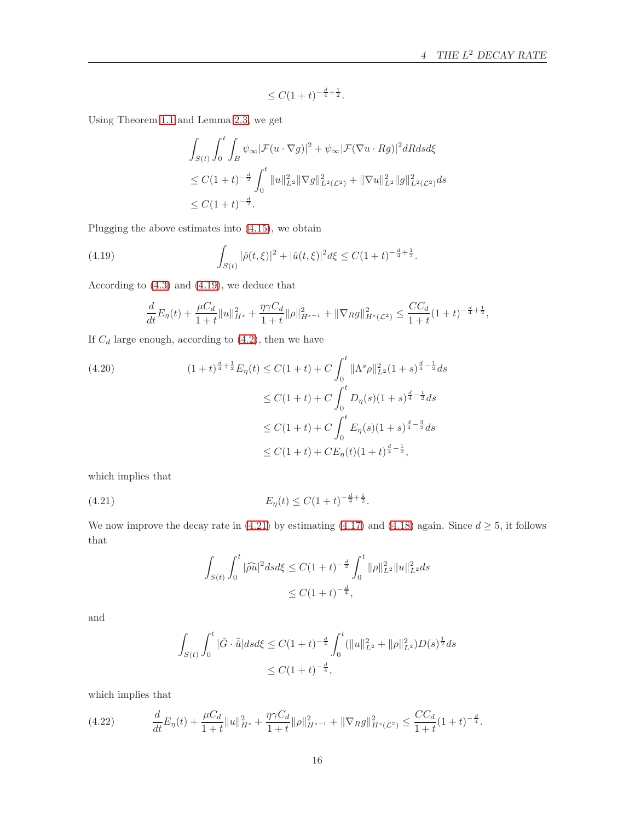$$
\leq C(1+t)^{-\frac{d}{4}+\frac{1}{2}}.
$$

Using Theorem [1.1](#page-3-0) and Lemma [2.3,](#page-5-0) we get

$$
\int_{S(t)} \int_0^t \int_B \psi_\infty |\mathcal{F}(u \cdot \nabla g)|^2 + \psi_\infty |\mathcal{F}(\nabla u \cdot Rg)|^2 dR ds d\xi
$$
  
\n
$$
\leq C(1+t)^{-\frac{d}{2}} \int_0^t \|u\|_{L^2}^2 \|\nabla g\|_{L^2(\mathcal{L}^2)}^2 + \|\nabla u\|_{L^2}^2 \|g\|_{L^2(\mathcal{L}^2)}^2 ds
$$
  
\n
$$
\leq C(1+t)^{-\frac{d}{2}}.
$$

Plugging the above estimates into [\(4.15\)](#page-14-0), we obtain

<span id="page-15-0"></span>(4.19) 
$$
\int_{S(t)} |\hat{\rho}(t,\xi)|^2 + |\hat{u}(t,\xi)|^2 d\xi \le C(1+t)^{-\frac{d}{4}+\frac{1}{2}}.
$$

According to [\(4.3\)](#page-12-1) and [\(4.19\)](#page-15-0), we deduce that

$$
\frac{d}{dt}E_{\eta}(t) + \frac{\mu C_d}{1+t}||u||_{H^s}^2 + \frac{\eta \gamma C_d}{1+t}||\rho||_{H^{s-1}}^2 + ||\nabla_R g||_{H^s(\mathcal{L}^2)}^2 \leq \frac{CC_d}{1+t}(1+t)^{-\frac{d}{4}+\frac{1}{2}},
$$

If  $C_d$  large enough, according to  $(4.2)$ , then we have

$$
(4.20)
$$
\n
$$
(1+t)^{\frac{d}{4}+\frac{1}{2}}E_{\eta}(t) \leq C(1+t) + C \int_0^t \|\Lambda^s \rho\|_{L^2}^2 (1+s)^{\frac{d}{4}-\frac{1}{2}} ds
$$
\n
$$
\leq C(1+t) + C \int_0^t D_{\eta}(s)(1+s)^{\frac{d}{4}-\frac{1}{2}} ds
$$
\n
$$
\leq C(1+t) + C \int_0^t E_{\eta}(s)(1+s)^{\frac{d}{4}-\frac{3}{2}} ds
$$
\n
$$
\leq C(1+t) + CE_{\eta}(t)(1+t)^{\frac{d}{4}-\frac{1}{2}},
$$

which implies that

<span id="page-15-1"></span>
$$
(4.21) \t\t\t E_{\eta}(t) \le C(1+t)^{-\frac{d}{4}+\frac{1}{2}}.
$$

We now improve the decay rate in [\(4.21\)](#page-15-1) by estimating [\(4.17\)](#page-14-1) and [\(4.18\)](#page-14-2) again. Since  $d \geq 5$ , it follows that

$$
\int_{S(t)} \int_0^t |\widehat{\rho u}|^2 ds d\xi \le C(1+t)^{-\frac{d}{2}} \int_0^t \|\rho\|_{L^2}^2 \|u\|_{L^2}^2 ds
$$
  

$$
\le C(1+t)^{-\frac{d}{4}},
$$

and

$$
\int_{S(t)} \int_0^t |\hat{G} \cdot \bar{\hat{u}}| ds d\xi \le C(1+t)^{-\frac{d}{4}} \int_0^t (\|u\|_{L^2}^2 + \|\rho\|_{L^2}^2) D(s)^{\frac{1}{2}} ds
$$
  

$$
\le C(1+t)^{-\frac{d}{4}},
$$

which implies that

$$
(4.22) \qquad \frac{d}{dt}E_{\eta}(t) + \frac{\mu C_d}{1+t}||u||_{H^s}^2 + \frac{\eta \gamma C_d}{1+t}||\rho||_{H^{s-1}}^2 + ||\nabla_R g||_{H^s(\mathcal{L}^2)}^2 \leq \frac{CC_d}{1+t}(1+t)^{-\frac{d}{4}}.
$$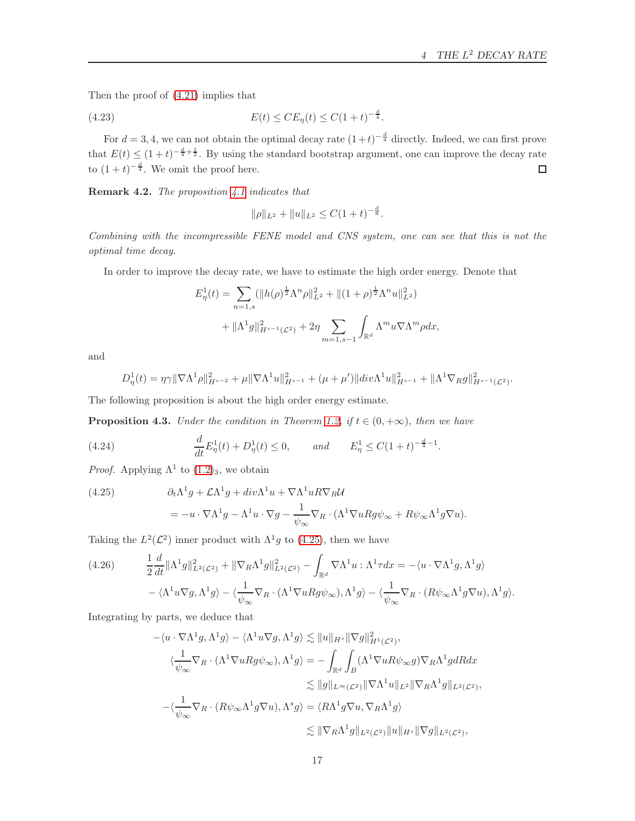Then the proof of [\(4.21\)](#page-15-1) implies that

<span id="page-16-1"></span>(4.23) 
$$
E(t) \leq CE_{\eta}(t) \leq C(1+t)^{-\frac{d}{4}}.
$$

For  $d = 3, 4$ , we can not obtain the optimal decay rate  $(1+t)^{-\frac{d}{4}}$  directly. Indeed, we can first prove that  $E(t) \leq (1+t)^{-\frac{d}{4}+\frac{1}{2}}$ . By using the standard bootstrap argument, one can improve the decay rate to  $(1+t)^{-\frac{d}{4}}$ . We omit the proof here.

Remark 4.2. The proposition [4.1](#page-12-3) indicates that

$$
\|\rho\|_{L^2} + \|u\|_{L^2} \le C(1+t)^{-\frac{d}{8}}.
$$

Combining with the incompressible FENE model and CNS system, one can see that this is not the optimal time decay.

In order to improve the decay rate, we have to estimate the high order energy. Denote that

$$
E_{\eta}^{1}(t) = \sum_{n=1,s} (\|h(\rho)^{\frac{1}{2}} \Lambda^{n} \rho\|_{L^{2}}^{2} + \|(1+\rho)^{\frac{1}{2}} \Lambda^{n} u\|_{L^{2}}^{2})
$$
  
+ 
$$
\|\Lambda^{1} g\|_{H^{s-1}(\mathcal{L}^{2})}^{2} + 2\eta \sum_{m=1,s-1} \int_{\mathbb{R}^{d}} \Lambda^{m} u \nabla \Lambda^{m} \rho dx,
$$

and

$$
D_{\eta}^{1}(t) = \eta \gamma \|\nabla \Lambda^{1} \rho\|_{H^{s-2}}^{2} + \mu \|\nabla \Lambda^{1} u\|_{H^{s-1}}^{2} + (\mu + \mu') \|div \Lambda^{1} u\|_{H^{s-1}}^{2} + \|\Lambda^{1} \nabla_{R} g\|_{H^{s-1}(\mathcal{L}^{2})}^{2}.
$$

The following proposition is about the high order energy estimate.

<span id="page-16-2"></span>**Proposition 4.3.** Under the condition in Theorem [1.2,](#page-3-1) if  $t \in (0, +\infty)$ , then we have

(4.24) 
$$
\frac{d}{dt}E_{\eta}^{1}(t) + D_{\eta}^{1}(t) \leq 0, \quad \text{and} \quad E_{\eta}^{1} \leq C(1+t)^{-\frac{d}{4}-1}.
$$

*Proof.* Applying  $\Lambda^1$  to  $(1.2)_3$ , we obtain

<span id="page-16-0"></span>(4.25) 
$$
\partial_t \Lambda^1 g + \mathcal{L} \Lambda^1 g + \text{div} \Lambda^1 u + \nabla \Lambda^1 u R \nabla_R \mathcal{U}
$$

$$
= -u \cdot \nabla \Lambda^1 g - \Lambda^1 u \cdot \nabla g - \frac{1}{\psi_{\infty}} \nabla_R \cdot (\Lambda^1 \nabla u R g \psi_{\infty} + R \psi_{\infty} \Lambda^1 g \nabla u).
$$

Taking the  $L^2(\mathcal{L}^2)$  inner product with  $\Lambda^1 g$  to (4.[25\)](#page-16-0), then we have

(4.26) 
$$
\frac{1}{2} \frac{d}{dt} ||\Lambda^1 g||^2_{L^2(\mathcal{L}^2)} + ||\nabla_R \Lambda^1 g||^2_{L^2(\mathcal{L}^2)} - \int_{\mathbb{R}^d} \nabla \Lambda^1 u : \Lambda^1 \tau dx = -\langle u \cdot \nabla \Lambda^1 g, \Lambda^1 g \rangle -\langle \Lambda^1 u \nabla g, \Lambda^1 g \rangle - \langle \frac{1}{\psi_{\infty}} \nabla_R \cdot (\Lambda^1 \nabla u R g \psi_{\infty}), \Lambda^1 g \rangle - \langle \frac{1}{\psi_{\infty}} \nabla_R \cdot (R \psi_{\infty} \Lambda^1 g \nabla u), \Lambda^1 g \rangle.
$$

Integrating by parts, we deduce that

$$
-\langle u \cdot \nabla \Lambda^1 g, \Lambda^1 g \rangle - \langle \Lambda^1 u \nabla g, \Lambda^1 g \rangle \lesssim ||u||_{H^s} ||\nabla g||^2_{H^1(\mathcal{L}^2)},
$$
  

$$
\langle \frac{1}{\psi_{\infty}} \nabla_R \cdot (\Lambda^1 \nabla u R g \psi_{\infty}), \Lambda^1 g \rangle = -\int_{\mathbb{R}^d} \int_B (\Lambda^1 \nabla u R \psi_{\infty} g) \nabla_R \Lambda^1 g dR dx
$$
  

$$
\lesssim ||g||_{L^{\infty}(\mathcal{L}^2)} ||\nabla \Lambda^1 u||_{L^2} ||\nabla_R \Lambda^1 g||_{L^2(\mathcal{L}^2)},
$$
  

$$
-\langle \frac{1}{\psi_{\infty}} \nabla_R \cdot (R \psi_{\infty} \Lambda^1 g \nabla u), \Lambda^s g \rangle = \langle R \Lambda^1 g \nabla u, \nabla_R \Lambda^1 g \rangle
$$
  

$$
\lesssim ||\nabla_R \Lambda^1 g||_{L^2(\mathcal{L}^2)} ||u||_{H^s} ||\nabla g||_{L^2(\mathcal{L}^2)},
$$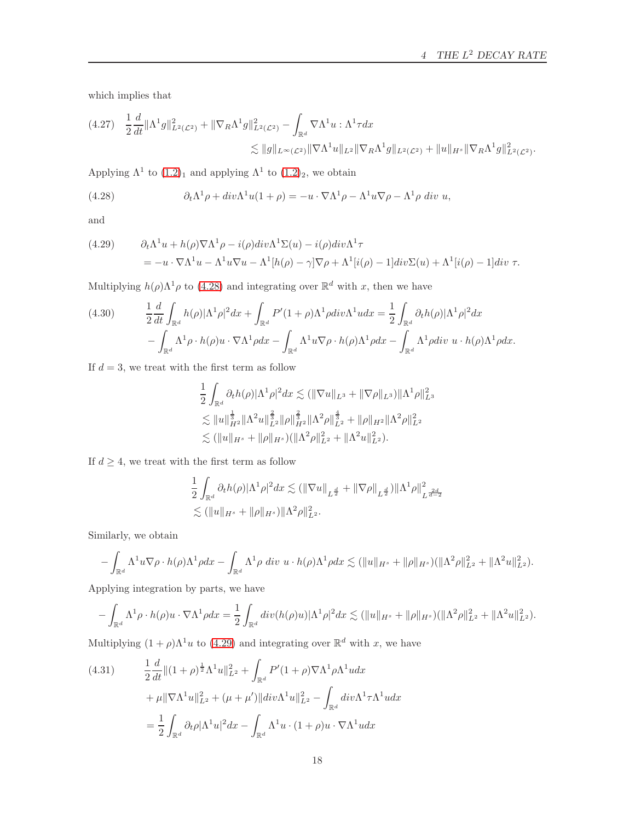which implies that

<span id="page-17-2"></span>
$$
(4.27) \quad \frac{1}{2}\frac{d}{dt}\|\Lambda^1 g\|_{L^2(\mathcal{L}^2)}^2 + \|\nabla_R\Lambda^1 g\|_{L^2(\mathcal{L}^2)}^2 - \int_{\mathbb{R}^d} \nabla\Lambda^1 u : \Lambda^1 \tau dx
$$
  

$$
\lesssim \|g\|_{L^\infty(\mathcal{L}^2)} \|\nabla\Lambda^1 u\|_{L^2} \|\nabla_R\Lambda^1 g\|_{L^2(\mathcal{L}^2)} + \|u\|_{H^s} \|\nabla_R\Lambda^1 g\|_{L^2(\mathcal{L}^2)}^2.
$$

Applying  $\Lambda^1$  to  $(1.2)_1$  $(1.2)_1$  $(1.2)_1$  and applying  $\Lambda^1$  to  $(1.2)_2$ , we obtain

<span id="page-17-0"></span>(4.28) 
$$
\partial_t \Lambda^1 \rho + \operatorname{div} \Lambda^1 u (1 + \rho) = -u \cdot \nabla \Lambda^1 \rho - \Lambda^1 u \nabla \rho - \Lambda^1 \rho \operatorname{div} u,
$$

and

<span id="page-17-1"></span>(4.29) 
$$
\partial_t \Lambda^1 u + h(\rho) \nabla \Lambda^1 \rho - i(\rho) \operatorname{div} \Lambda^1 \Sigma(u) - i(\rho) \operatorname{div} \Lambda^1 \tau \n= -u \cdot \nabla \Lambda^1 u - \Lambda^1 u \nabla u - \Lambda^1 [h(\rho) - \gamma] \nabla \rho + \Lambda^1 [i(\rho) - 1] \operatorname{div} \Sigma(u) + \Lambda^1 [i(\rho) - 1] \operatorname{div} \tau.
$$

Multiplying  $h(\rho)\Lambda^1\rho$  to (4.[28\)](#page-17-0) and integrating over  $\mathbb{R}^d$  with x, then we have

<span id="page-17-3"></span>(4.30) 
$$
\frac{1}{2} \frac{d}{dt} \int_{\mathbb{R}^d} h(\rho) |\Lambda^1 \rho|^2 dx + \int_{\mathbb{R}^d} P'(1+\rho) \Lambda^1 \rho \, div \Lambda^1 u dx = \frac{1}{2} \int_{\mathbb{R}^d} \partial_t h(\rho) |\Lambda^1 \rho|^2 dx - \int_{\mathbb{R}^d} \Lambda^1 \rho \cdot h(\rho) u \cdot \nabla \Lambda^1 \rho dx - \int_{\mathbb{R}^d} \Lambda^1 u \nabla \rho \cdot h(\rho) \Lambda^1 \rho dx - \int_{\mathbb{R}^d} \Lambda^1 \rho \, div \, u \cdot h(\rho) \Lambda^1 \rho dx.
$$

If  $d = 3$ , we treat with the first term as follow

$$
\begin{aligned}\n&\frac{1}{2}\int_{\mathbb{R}^d}\partial_t h(\rho)|\Lambda^1\rho|^2dx \lesssim (\|\nabla u\|_{L^3} + \|\nabla\rho\|_{L^3})\|\Lambda^1\rho\|_{L^3}^2 \\
&\lesssim \|u\|_{H^2}^{\frac{1}{3}}\|\Lambda^2 u\|_{L^2}^{\frac{2}{3}}\|\rho\|_{H^2}^{\frac{2}{3}}\|\Lambda^2\rho\|_{L^2}^{\frac{4}{3}} + \|\rho\|_{H^2}\|\Lambda^2\rho\|_{L^2}^2 \\
&\lesssim (\|u\|_{H^s} + \|\rho\|_{H^s})(\|\Lambda^2\rho\|_{L^2}^2 + \|\Lambda^2 u\|_{L^2}^2).\n\end{aligned}
$$

If  $d \geq 4$ , we treat with the first term as follow

$$
\frac{1}{2} \int_{\mathbb{R}^d} \partial_t h(\rho) |\Lambda^1 \rho|^2 dx \lesssim (\|\nabla u\|_{L^{\frac{d}{2}}} + \|\nabla \rho\|_{L^{\frac{d}{2}}}) |\Lambda^1 \rho\|_{L^{\frac{2d}{d-2}}}^2
$$
  

$$
\lesssim (\|u\|_{H^s} + \|\rho\|_{H^s}) |\Lambda^2 \rho\|_{L^2}^2.
$$

Similarly, we obtain

$$
-\int_{\mathbb{R}^d} \Lambda^1 u \nabla \rho \cdot h(\rho) \Lambda^1 \rho dx - \int_{\mathbb{R}^d} \Lambda^1 \rho \, div \, u \cdot h(\rho) \Lambda^1 \rho dx \lesssim (\|u\|_{H^s} + \|\rho\|_{H^s}) (\|\Lambda^2 \rho\|_{L^2}^2 + \|\Lambda^2 u\|_{L^2}^2).
$$

Applying integration by parts, we have

$$
-\int_{\mathbb{R}^d} \Lambda^1 \rho \cdot h(\rho) u \cdot \nabla \Lambda^1 \rho dx = \frac{1}{2} \int_{\mathbb{R}^d} div(h(\rho) u) |\Lambda^1 \rho|^2 dx \lesssim (\|u\|_{H^s} + \|\rho\|_{H^s}) (\|\Lambda^2 \rho\|_{L^2}^2 + \|\Lambda^2 u\|_{L^2}^2).
$$

Multiplying  $(1 + \rho)\Lambda^1 u$  to  $(4.29)$  $(4.29)$  and integrating over  $\mathbb{R}^d$  with x, we have

(4.31) 
$$
\frac{1}{2} \frac{d}{dt} ||(1+\rho)^{\frac{1}{2}} \Lambda^{1} u||_{L^{2}}^{2} + \int_{\mathbb{R}^{d}} P'(1+\rho) \nabla \Lambda^{1} \rho \Lambda^{1} u dx \n+ \mu ||\nabla \Lambda^{1} u||_{L^{2}}^{2} + (\mu + \mu') ||div \Lambda^{1} u||_{L^{2}}^{2} - \int_{\mathbb{R}^{d}} div \Lambda^{1} \tau \Lambda^{1} u dx \n= \frac{1}{2} \int_{\mathbb{R}^{d}} \partial_{t} \rho |\Lambda^{1} u|^{2} dx - \int_{\mathbb{R}^{d}} \Lambda^{1} u \cdot (1+\rho) u \cdot \nabla \Lambda^{1} u dx
$$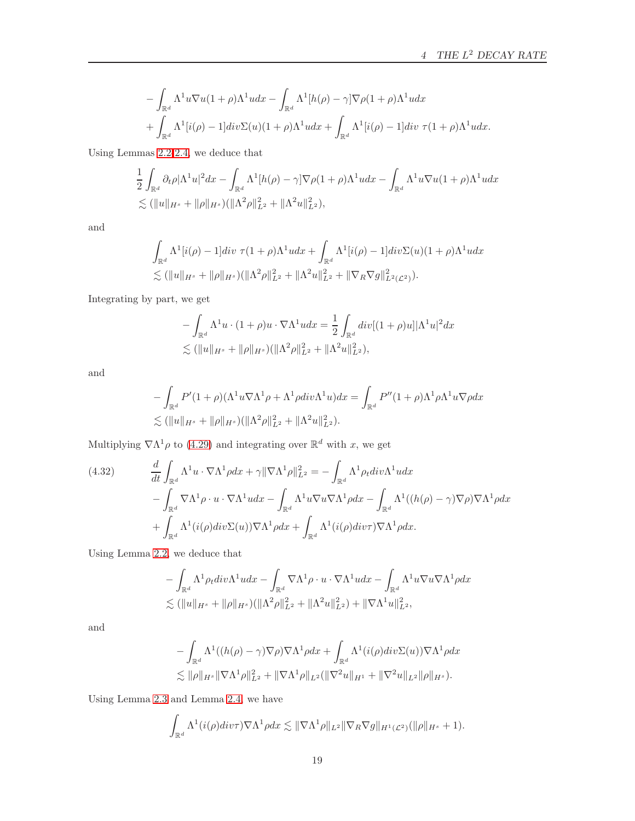$$
- \int_{\mathbb{R}^d} \Lambda^1 u \nabla u (1 + \rho) \Lambda^1 u dx - \int_{\mathbb{R}^d} \Lambda^1 [h(\rho) - \gamma] \nabla \rho (1 + \rho) \Lambda^1 u dx + \int_{\mathbb{R}^d} \Lambda^1 [i(\rho) - 1] \, div \Sigma(u) (1 + \rho) \Lambda^1 u dx + \int_{\mathbb{R}^d} \Lambda^1 [i(\rho) - 1] \, div \, \tau (1 + \rho) \Lambda^1 u dx.
$$

Using Lemmas [2.2-](#page-5-2)[2.4,](#page-5-3) we deduce that

$$
\frac{1}{2} \int_{\mathbb{R}^d} \partial_t \rho |\Lambda^1 u|^2 dx - \int_{\mathbb{R}^d} \Lambda^1 [h(\rho) - \gamma] \nabla \rho (1 + \rho) \Lambda^1 u dx - \int_{\mathbb{R}^d} \Lambda^1 u \nabla u (1 + \rho) \Lambda^1 u dx
$$
  
\$\lesssim (\|u\|\_{H^s} + \|\rho\|\_{H^s})(\|\Lambda^2 \rho\|\_{L^2}^2 + \|\Lambda^2 u\|\_{L^2}^2),

and

$$
\int_{\mathbb{R}^d} \Lambda^1[i(\rho) - 1] \, div \, \tau (1 + \rho) \Lambda^1 u \, dx + \int_{\mathbb{R}^d} \Lambda^1[i(\rho) - 1] \, div \Sigma(u) (1 + \rho) \Lambda^1 u \, dx \n\lesssim (\|u\|_{H^s} + \|\rho\|_{H^s}) (\|\Lambda^2 \rho\|_{L^2}^2 + \|\Lambda^2 u\|_{L^2}^2 + \|\nabla_R \nabla g\|_{L^2(\mathcal{L}^2)}^2).
$$

Integrating by part, we get

$$
- \int_{\mathbb{R}^d} \Lambda^1 u \cdot (1+\rho)u \cdot \nabla \Lambda^1 u dx = \frac{1}{2} \int_{\mathbb{R}^d} div[(1+\rho)u] |\Lambda^1 u|^2 dx
$$
  
\$\lesssim (\|u\|\_{H^s} + \|\rho\|\_{H^s})(\|\Lambda^2 \rho\|\_{L^2}^2 + \|\Lambda^2 u\|\_{L^2}^2),

and

$$
- \int_{\mathbb{R}^d} P'(1+\rho)(\Lambda^1 u \nabla \Lambda^1 \rho + \Lambda^1 \rho \text{div}\Lambda^1 u) dx = \int_{\mathbb{R}^d} P''(1+\rho) \Lambda^1 \rho \Lambda^1 u \nabla \rho dx
$$
  
\$\lesssim (\|u\|\_{H^s} + \|\rho\|\_{H^s})(\|\Lambda^2 \rho\|\_{L^2}^2 + \|\Lambda^2 u\|\_{L^2}^2).

Multiplying  $\nabla \Lambda^1 \rho$  to (4.[29\)](#page-17-1) and integrating over  $\mathbb{R}^d$  with x, we get

<span id="page-18-0"></span>(4.32) 
$$
\frac{d}{dt} \int_{\mathbb{R}^d} \Lambda^1 u \cdot \nabla \Lambda^1 \rho dx + \gamma \|\nabla \Lambda^1 \rho\|_{L^2}^2 = - \int_{\mathbb{R}^d} \Lambda^1 \rho_t div \Lambda^1 u dx \n- \int_{\mathbb{R}^d} \nabla \Lambda^1 \rho \cdot u \cdot \nabla \Lambda^1 u dx - \int_{\mathbb{R}^d} \Lambda^1 u \nabla u \nabla \Lambda^1 \rho dx - \int_{\mathbb{R}^d} \Lambda^1 ((h(\rho) - \gamma) \nabla \rho) \nabla \Lambda^1 \rho dx \n+ \int_{\mathbb{R}^d} \Lambda^1 (i(\rho) div \Sigma(u)) \nabla \Lambda^1 \rho dx + \int_{\mathbb{R}^d} \Lambda^1 (i(\rho) div \tau) \nabla \Lambda^1 \rho dx.
$$

Using Lemma [2.2,](#page-5-2) we deduce that

$$
- \int_{\mathbb{R}^d} \Lambda^1 \rho_t div \Lambda^1 u dx - \int_{\mathbb{R}^d} \nabla \Lambda^1 \rho \cdot u \cdot \nabla \Lambda^1 u dx - \int_{\mathbb{R}^d} \Lambda^1 u \nabla u \nabla \Lambda^1 \rho dx
$$
  

$$
\lesssim (\|u\|_{H^s} + \|\rho\|_{H^s})(\|\Lambda^2 \rho\|_{L^2}^2 + \|\Lambda^2 u\|_{L^2}^2) + \|\nabla \Lambda^1 u\|_{L^2}^2,
$$

and

$$
- \int_{\mathbb{R}^d} \Lambda^1((h(\rho) - \gamma) \nabla \rho) \nabla \Lambda^1 \rho dx + \int_{\mathbb{R}^d} \Lambda^1(i(\rho) div \Sigma(u)) \nabla \Lambda^1 \rho dx
$$
  
\$\lesssim ||\rho||\_{H^s} ||\nabla \Lambda^1 \rho||\_{L^2}^2 + ||\nabla \Lambda^1 \rho||\_{L^2} (||\nabla^2 u||\_{H^1} + ||\nabla^2 u||\_{L^2} ||\rho||\_{H^s}).

Using Lemma [2.3](#page-5-0) and Lemma [2.4,](#page-5-3) we have

$$
\int_{\mathbb{R}^d} \Lambda^1(i(\rho)div\tau) \nabla \Lambda^1 \rho dx \lesssim \|\nabla \Lambda^1 \rho\|_{L^2} \|\nabla_R \nabla g\|_{H^1(\mathcal{L}^2)} (\|\rho\|_{H^s} + 1).
$$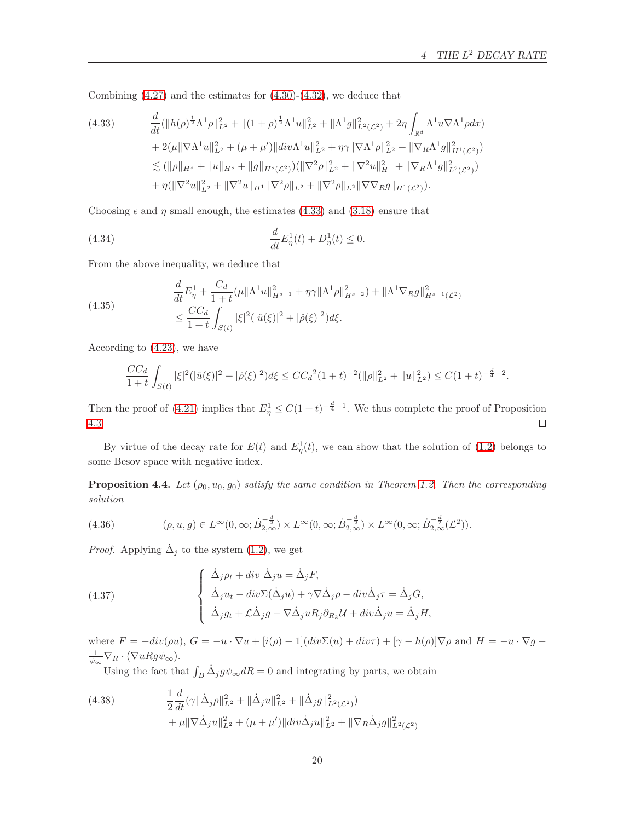Combining  $(4.27)$  and the estimates for  $(4.30)-(4.32)$  $(4.30)-(4.32)$ , we deduce that

<span id="page-19-0"></span>
$$
(4.33) \quad \frac{d}{dt}(\|h(\rho)^{\frac{1}{2}}\Lambda^1\rho\|_{L^2}^2 + \|(1+\rho)^{\frac{1}{2}}\Lambda^1 u\|_{L^2}^2 + \|\Lambda^1 g\|_{L^2(\mathcal{L}^2)}^2 + 2\eta \int_{\mathbb{R}^d} \Lambda^1 u \nabla \Lambda^1 \rho dx) + 2(\mu \|\nabla \Lambda^1 u\|_{L^2}^2 + (\mu + \mu')\|div \Lambda^1 u\|_{L^2}^2 + \eta \gamma \|\nabla \Lambda^1 \rho\|_{L^2}^2 + \|\nabla_R \Lambda^1 g\|_{H^1(\mathcal{L}^2)}^2) \n\lesssim (\|\rho\|_{H^s} + \|u\|_{H^s} + \|g\|_{H^s(\mathcal{L}^2)})(\|\nabla^2 \rho\|_{L^2}^2 + \|\nabla^2 u\|_{H^1}^2 + \|\nabla_R \Lambda^1 g\|_{L^2(\mathcal{L}^2)}^2) + \eta(\|\nabla^2 u\|_{L^2}^2 + \|\nabla^2 u\|_{H^1} \|\nabla^2 \rho\|_{L^2} + \|\nabla^2 \rho\|_{L^2} \|\nabla \nabla_R g\|_{H^1(\mathcal{L}^2)}).
$$

Choosing  $\epsilon$  and  $\eta$  small enough, the estimates [\(4.33\)](#page-19-0) and [\(3.18\)](#page-10-1) ensure that

(4.34) 
$$
\frac{d}{dt}E_{\eta}^{1}(t) + D_{\eta}^{1}(t) \leq 0.
$$

From the above inequality, we deduce that

(4.35)  
\n
$$
\frac{d}{dt}E_{\eta}^{1} + \frac{C_{d}}{1+t}(\mu||\Lambda^{1}u||_{H^{s-1}}^{2} + \eta\gamma||\Lambda^{1}\rho||_{H^{s-2}}^{2}) + ||\Lambda^{1}\nabla_{R}g||_{H^{s-1}(\mathcal{L}^{2})}^{2}
$$
\n
$$
\leq \frac{CC_{d}}{1+t} \int_{S(t)} |\xi|^{2}(|\hat{u}(\xi)|^{2} + |\hat{\rho}(\xi)|^{2}) d\xi.
$$

According to [\(4.23\)](#page-16-1), we have

$$
\frac{CC_d}{1+t} \int_{S(t)} |\xi|^2 (|\hat{u}(\xi)|^2 + |\hat{\rho}(\xi)|^2) d\xi \le CC_d^2 (1+t)^{-2} (||\rho||_{L^2}^2 + ||u||_{L^2}^2) \le C(1+t)^{-\frac{d}{4}-2}.
$$

Then the proof of [\(4.21\)](#page-15-1) implies that  $E_{\eta}^1 \leq C(1+t)^{-\frac{d}{4}-1}$ . We thus complete the proof of Proposition [4.3.](#page-16-2)  $\Box$ 

By virtue of the decay rate for  $E(t)$  and  $E_{\eta}^{1}(t)$ , we can show that the solution of [\(1.2\)](#page-1-2) belongs to some Besov space with negative index.

<span id="page-19-2"></span>**Proposition 4.4.** Let  $(\rho_0, u_0, g_0)$  satisfy the same condition in Theorem [1.2.](#page-3-1) Then the corresponding solution

(4.36) 
$$
(\rho, u, g) \in L^{\infty}(0, \infty; \dot{B}_{2,\infty}^{-\frac{d}{2}}) \times L^{\infty}(0, \infty; \dot{B}_{2,\infty}^{-\frac{d}{2}}) \times L^{\infty}(0, \infty; \dot{B}_{2,\infty}^{-\frac{d}{2}}(\mathcal{L}^2)).
$$

*Proof.* Applying  $\dot{\Delta}_j$  to the system [\(1.2\)](#page-1-2), we get

(4.37) 
$$
\begin{cases} \dot{\Delta}_j \rho_t + div \ \dot{\Delta}_j u = \dot{\Delta}_j F, \\ \dot{\Delta}_j u_t - div \Sigma (\dot{\Delta}_j u) + \gamma \nabla \dot{\Delta}_j \rho - div \dot{\Delta}_j \tau = \dot{\Delta}_j G, \\ \dot{\Delta}_j g_t + \mathcal{L} \dot{\Delta}_j g - \nabla \dot{\Delta}_j u R_j \partial_{R_k} \mathcal{U} + div \dot{\Delta}_j u = \dot{\Delta}_j H, \end{cases}
$$

where  $F = -div(\rho u)$ ,  $G = -u \cdot \nabla u + [i(\rho) - 1](div\Sigma(u) + div\tau) + [\gamma - h(\rho)]\nabla \rho$  and  $H = -u \cdot \nabla g$  $\frac{1}{\psi_{\infty}}\nabla_R\cdot(\nabla uRg\psi_{\infty}).$ 

Using the fact that  $\int_B \dot{\Delta}_j g \psi_\infty dR = 0$  and integrating by parts, we obtain

<span id="page-19-1"></span>(4.38) 
$$
\frac{1}{2}\frac{d}{dt}(\gamma\|\dot{\Delta}_{j}\rho\|_{L^{2}}^{2} + \|\dot{\Delta}_{j}u\|_{L^{2}}^{2} + \|\dot{\Delta}_{j}g\|_{L^{2}(\mathcal{L}^{2})}^{2}) + \mu\|\nabla\dot{\Delta}_{j}u\|_{L^{2}}^{2} + (\mu + \mu')\|div\dot{\Delta}_{j}u\|_{L^{2}}^{2} + \|\nabla_{R}\dot{\Delta}_{j}g\|_{L^{2}(\mathcal{L}^{2})}^{2}
$$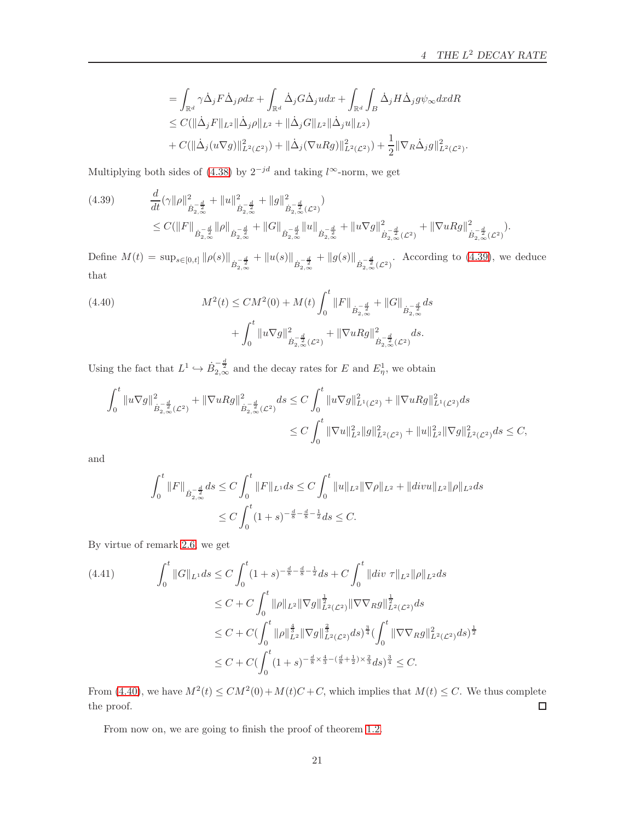.

 $\frac{1}{2}$ 

$$
= \int_{\mathbb{R}^d} \gamma \dot{\Delta}_j F \dot{\Delta}_j \rho dx + \int_{\mathbb{R}^d} \dot{\Delta}_j G \dot{\Delta}_j u dx + \int_{\mathbb{R}^d} \int_B \dot{\Delta}_j H \dot{\Delta}_j g \psi_{\infty} dx dR
$$
  
\n
$$
\leq C(||\dot{\Delta}_j F||_{L^2} ||\dot{\Delta}_j \rho||_{L^2} + ||\dot{\Delta}_j G||_{L^2} ||\dot{\Delta}_j u||_{L^2})
$$
  
\n
$$
+ C(||\dot{\Delta}_j (u \nabla g)||_{L^2(\mathcal{L}^2)}^2) + ||\dot{\Delta}_j (\nabla u R g)||_{L^2(\mathcal{L}^2)}^2) + \frac{1}{2} ||\nabla_R \dot{\Delta}_j g||_{L^2(\mathcal{L}^2)}^2
$$

Multiplying both sides of [\(4.38\)](#page-19-1) by  $2^{-jd}$  and taking l<sup>∞</sup>-norm, we get

<span id="page-20-0"></span>
$$
(4.39) \t \frac{d}{dt}(\gamma \|\rho\|_{\dot{B}_{2,\infty}^{-\frac{d}{2}}}^2 + \|u\|_{\dot{B}_{2,\infty}^{-\frac{d}{2}}}^2 + \|g\|_{\dot{B}_{2,\infty}^{-\frac{d}{2}}(L^2)}^2) \t \leq C(\|F\|_{\dot{B}_{2,\infty}^{-\frac{d}{2}}}\|\rho\|_{\dot{B}_{2,\infty}^{-\frac{d}{2}}} + \|G\|_{\dot{B}_{2,\infty}^{-\frac{d}{2}}}\|u\|_{\dot{B}_{2,\infty}^{-\frac{d}{2}}} + \|u\nabla g\|_{\dot{B}_{2,\infty}^{-\frac{d}{2}}(L^2)}^2 + \|\nabla uRg\|_{\dot{B}_{2,\infty}^{-\frac{d}{2}}(L^2)}^2).
$$

Define  $M(t) = \sup_{s \in [0,t]} \| \rho(s) \|_{\dot{B}_{2,\infty}^{-\frac{d}{2}}} + \| u(s) \|_{\dot{B}_{2,\infty}^{-\frac{d}{2}}} + \| g(s) \|_{\dot{B}_{2,\infty}^{-\frac{d}{2}}(\mathcal{L}^2)}$ . According to [\(4.39\)](#page-20-0), we deduce that

<span id="page-20-1"></span>(4.40) 
$$
M^{2}(t) \le CM^{2}(0) + M(t) \int_{0}^{t} ||F||_{\dot{B}_{2,\infty}^{-\frac{d}{2}}} + ||G||_{\dot{B}_{2,\infty}^{-\frac{d}{2}}} ds + \int_{0}^{t} ||u\nabla g||_{\dot{B}_{2,\infty}^{-\frac{d}{2}}(\mathcal{L}^{2})}^{2} + ||\nabla uRg||_{\dot{B}_{2,\infty}^{-\frac{d}{2}}(\mathcal{L}^{2})}^{2} ds.
$$

Using the fact that  $L^1 \hookrightarrow \dot{B}_{2,\infty}^{-\frac{d}{2}}$  and the decay rates for E and  $E^1_\eta$ , we obtain

$$
\int_0^t \|u\nabla g\|_{\dot{B}_{2,\infty}^{-\frac{d}{2}}(\mathcal{L}^2)}^2 + \|\nabla u Rg\|_{\dot{B}_{2,\infty}^{-\frac{d}{2}}(\mathcal{L}^2)}^2 ds \le C \int_0^t \|u\nabla g\|_{L^1(\mathcal{L}^2)}^2 + \|\nabla u Rg\|_{L^1(\mathcal{L}^2)}^2 ds
$$
  

$$
\le C \int_0^t \|\nabla u\|_{L^2}^2 \|g\|_{L^2(\mathcal{L}^2)}^2 + \|u\|_{L^2}^2 \|\nabla g\|_{L^2(\mathcal{L}^2)}^2 ds \le C,
$$

and

$$
\int_0^t \|F\|_{\dot{B}_{2,\infty}^{-\frac{d}{2}}} ds \le C \int_0^t \|F\|_{L^1} ds \le C \int_0^t \|u\|_{L^2} \|\nabla \rho\|_{L^2} + \|divu\|_{L^2} \|\rho\|_{L^2} ds
$$
  

$$
\le C \int_0^t (1+s)^{-\frac{d}{8} - \frac{d}{8} - \frac{1}{2}} ds \le C.
$$

By virtue of remark [2.6,](#page-6-4) we get

<span id="page-20-2"></span>
$$
(4.41) \qquad \int_0^t \|G\|_{L^1} ds \le C \int_0^t (1+s)^{-\frac{d}{8}-\frac{d}{8}-\frac{1}{2}} ds + C \int_0^t \|div \mathcal{T}\|_{L^2} \|\rho\|_{L^2} ds
$$
  

$$
\le C + C \int_0^t \|\rho\|_{L^2} \|\nabla g\|_{L^2(\mathcal{L}^2)}^{\frac{1}{2}} \|\nabla \nabla_R g\|_{L^2(\mathcal{L}^2)}^{\frac{1}{2}} ds
$$
  

$$
\le C + C \int_0^t \|\rho\|_{L^2}^{\frac{4}{3}} \|\nabla g\|_{L^2(\mathcal{L}^2)}^{\frac{2}{3}} ds)^{\frac{3}{4}} \left(\int_0^t \|\nabla \nabla_R g\|_{L^2(\mathcal{L}^2)}^2 ds\right)
$$
  

$$
\le C + C \left(\int_0^t (1+s)^{-\frac{d}{8} \times \frac{4}{3} - (\frac{d}{8} + \frac{1}{2}) \times \frac{2}{3}} ds\right)^{\frac{3}{4}} \le C.
$$

From [\(4.40\)](#page-20-1), we have  $M^2(t) \leq CM^2(0) + M(t)C + C$ , which implies that  $M(t) \leq C$ . We thus complete the proof.  $\Box$ 

From now on, we are going to finish the proof of theorem [1.2.](#page-3-1)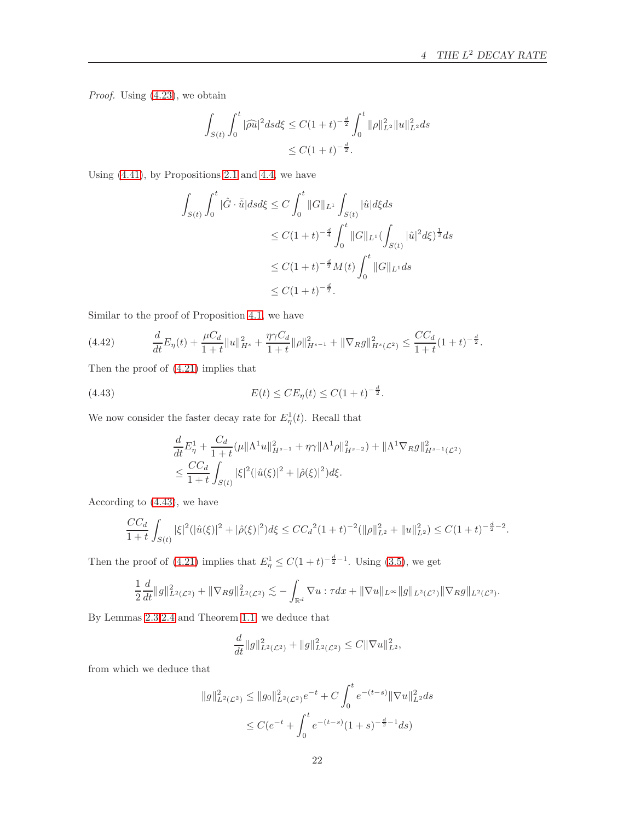Proof. Using [\(4.23\)](#page-16-1), we obtain

$$
\int_{S(t)} \int_0^t |\widehat{\rho u}|^2 ds d\xi \le C(1+t)^{-\frac{d}{2}} \int_0^t \|\rho\|_{L^2}^2 \|u\|_{L^2}^2 ds
$$
  

$$
\le C(1+t)^{-\frac{d}{2}}.
$$

Using [\(4.41\)](#page-20-2), by Propositions [2.1](#page-4-1) and [4.4,](#page-19-2) we have

$$
\int_{S(t)} \int_0^t |\hat{G} \cdot \bar{\hat{u}}| ds d\xi \le C \int_0^t ||G||_{L^1} \int_{S(t)} |\hat{u}| d\xi ds
$$
  
\n
$$
\le C(1+t)^{-\frac{d}{4}} \int_0^t ||G||_{L^1} (\int_{S(t)} |\hat{u}|^2 d\xi)^{\frac{1}{2}} ds
$$
  
\n
$$
\le C(1+t)^{-\frac{d}{2}} M(t) \int_0^t ||G||_{L^1} ds
$$
  
\n
$$
\le C(1+t)^{-\frac{d}{2}}.
$$

Similar to the proof of Proposition [4.1,](#page-12-3) we have

$$
(4.42) \qquad \frac{d}{dt}E_{\eta}(t) + \frac{\mu C_d}{1+t}||u||_{H^s}^2 + \frac{\eta \gamma C_d}{1+t}||\rho||_{H^{s-1}}^2 + ||\nabla_R g||_{H^s(\mathcal{L}^2)}^2 \leq \frac{CC_d}{1+t}(1+t)^{-\frac{d}{2}}.
$$

Then the proof of [\(4.21\)](#page-15-1) implies that

<span id="page-21-0"></span>(4.43) 
$$
E(t) \leq CE_{\eta}(t) \leq C(1+t)^{-\frac{d}{2}}.
$$

We now consider the faster decay rate for  $E_{\eta}^{1}(t)$ . Recall that

$$
\frac{d}{dt}E_{\eta}^{1} + \frac{C_{d}}{1+t}(\mu \|\Lambda^{1}u\|_{H^{s-1}}^{2} + \eta\gamma\|\Lambda^{1}\rho\|_{H^{s-2}}^{2}) + \|\Lambda^{1}\nabla_{R}g\|_{H^{s-1}(\mathcal{L}^{2})}^{2}
$$
\n
$$
\leq \frac{CC_{d}}{1+t} \int_{S(t)} |\xi|^{2}(|\hat{u}(\xi)|^{2} + |\hat{\rho}(\xi)|^{2}) d\xi.
$$

According to [\(4.43\)](#page-21-0), we have

$$
\frac{CC_d}{1+t} \int_{S(t)} |\xi|^2 (|\hat{u}(\xi)|^2 + |\hat{\rho}(\xi)|^2) d\xi \le CC_d^2 (1+t)^{-2} (||\rho||_{L^2}^2 + ||u||_{L^2}^2) \le C(1+t)^{-\frac{d}{2}-2}.
$$

Then the proof of [\(4.21\)](#page-15-1) implies that  $E_{\eta}^1 \leq C(1+t)^{-\frac{d}{2}-1}$ . Using [\(3.5\)](#page-7-0), we get

$$
\frac{1}{2}\frac{d}{dt}||g||_{L^{2}(\mathcal{L}^{2})}^{2}+||\nabla_{R}g||_{L^{2}(\mathcal{L}^{2})}^{2} \lesssim -\int_{\mathbb{R}^{d}}\nabla u:\tau dx+\|\nabla u\|_{L^{\infty}}||g||_{L^{2}(\mathcal{L}^{2})}||\nabla_{R}g||_{L^{2}(\mathcal{L}^{2})}.
$$

By Lemmas [2.3,](#page-5-0)[2.4](#page-5-3) and Theorem [1.1,](#page-3-0) we deduce that

$$
\frac{d}{dt}||g||_{L^2(\mathcal{L}^2)}^2 + ||g||_{L^2(\mathcal{L}^2)}^2 \leq C||\nabla u||_{L^2}^2,
$$

from which we deduce that

$$
||g||_{L^{2}(\mathcal{L}^{2})}^{2} \leq ||g_{0}||_{L^{2}(\mathcal{L}^{2})}^{2}e^{-t} + C \int_{0}^{t} e^{-(t-s)} ||\nabla u||_{L^{2}}^{2} ds
$$
  

$$
\leq C(e^{-t} + \int_{0}^{t} e^{-(t-s)}(1+s)^{-\frac{d}{2}-1} ds)
$$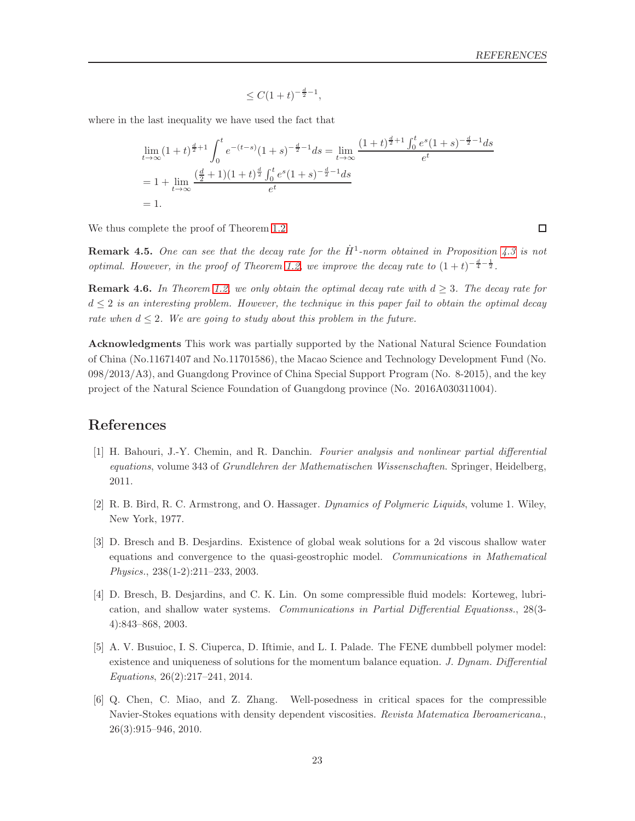$$
\leq C(1+t)^{-\frac{d}{2}-1},
$$

where in the last inequality we have used the fact that

$$
\lim_{t \to \infty} (1+t)^{\frac{d}{2}+1} \int_0^t e^{-(t-s)} (1+s)^{-\frac{d}{2}-1} ds = \lim_{t \to \infty} \frac{(1+t)^{\frac{d}{2}+1} \int_0^t e^s (1+s)^{-\frac{d}{2}-1} ds}{e^t}
$$
\n
$$
= 1 + \lim_{t \to \infty} \frac{(\frac{d}{2}+1)(1+t)^{\frac{d}{2}} \int_0^t e^s (1+s)^{-\frac{d}{2}-1} ds}{e^t}
$$
\n
$$
= 1.
$$

We thus complete the proof of Theorem [1.2.](#page-3-1)

**Remark 4.5.** One can see that the decay rate for the  $\dot{H}^1$ -norm obtained in Proposition [4.3](#page-16-2) is not optimal. However, in the proof of Theorem [1.2,](#page-3-1) we improve the decay rate to  $(1+t)^{-\frac{d}{4}-\frac{1}{2}}$ .

**Remark 4.6.** In Theorem [1.2,](#page-3-1) we only obtain the optimal decay rate with  $d \geq 3$ . The decay rate for  $d \leq 2$  is an interesting problem. However, the technique in this paper fail to obtain the optimal decay rate when  $d \leq 2$ . We are going to study about this problem in the future.

Acknowledgments This work was partially supported by the National Natural Science Foundation of China (No.11671407 and No.11701586), the Macao Science and Technology Development Fund (No. 098/2013/A3), and Guangdong Province of China Special Support Program (No. 8-2015), and the key project of the Natural Science Foundation of Guangdong province (No. 2016A030311004).

## <span id="page-22-6"></span><span id="page-22-0"></span>References

- [1] H. Bahouri, J.-Y. Chemin, and R. Danchin. Fourier analysis and nonlinear partial differential equations, volume 343 of Grundlehren der Mathematischen Wissenschaften. Springer, Heidelberg, 2011.
- <span id="page-22-3"></span><span id="page-22-1"></span>[2] R. B. Bird, R. C. Armstrong, and O. Hassager. Dynamics of Polymeric Liquids, volume 1. Wiley, New York, 1977.
- [3] D. Bresch and B. Desjardins. Existence of global weak solutions for a 2d viscous shallow water equations and convergence to the quasi-geostrophic model. Communications in Mathematical Physics., 238(1-2):211–233, 2003.
- <span id="page-22-4"></span>[4] D. Bresch, B. Desjardins, and C. K. Lin. On some compressible fluid models: Korteweg, lubrication, and shallow water systems. Communications in Partial Differential Equationss., 28(3- 4):843–868, 2003.
- <span id="page-22-2"></span>[5] A. V. Busuioc, I. S. Ciuperca, D. Iftimie, and L. I. Palade. The FENE dumbbell polymer model: existence and uniqueness of solutions for the momentum balance equation. J. Dynam. Differential Equations, 26(2):217–241, 2014.
- <span id="page-22-5"></span>[6] Q. Chen, C. Miao, and Z. Zhang. Well-posedness in critical spaces for the compressible Navier-Stokes equations with density dependent viscosities. Revista Matematica Iberoamericana., 26(3):915–946, 2010.

 $\Box$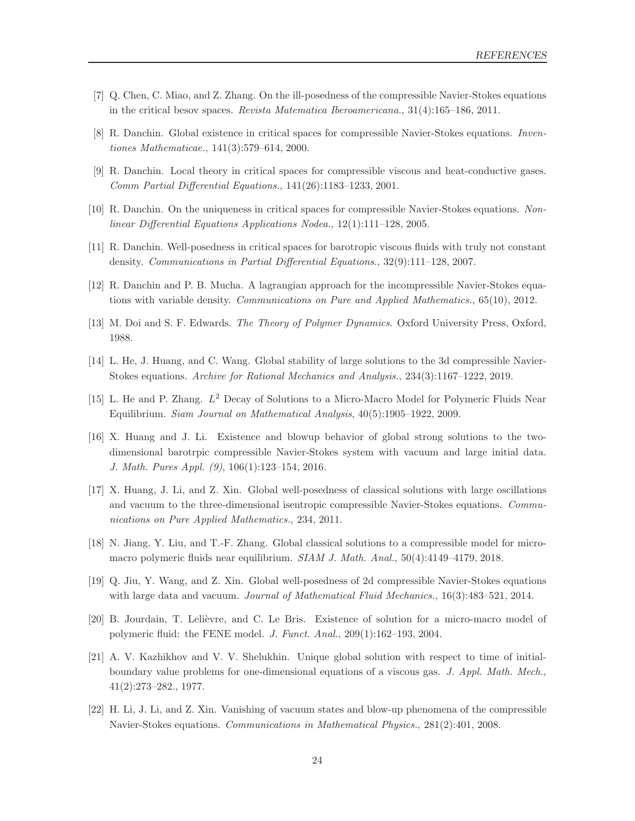- <span id="page-23-12"></span><span id="page-23-7"></span>[7] Q. Chen, C. Miao, and Z. Zhang. On the ill-posedness of the compressible Navier-Stokes equations in the critical besov spaces. Revista Matematica Iberoamericana., 31(4):165–186, 2011.
- <span id="page-23-8"></span>[8] R. Danchin. Global existence in critical spaces for compressible Navier-Stokes equations. Inventiones Mathematicae., 141(3):579–614, 2000.
- <span id="page-23-9"></span>[9] R. Danchin. Local theory in critical spaces for compressible viscous and heat-conductive gases. Comm Partial Differential Equations., 141(26):1183–1233, 2001.
- <span id="page-23-10"></span>[10] R. Danchin. On the uniqueness in critical spaces for compressible Navier-Stokes equations. Nonlinear Differential Equations Applications Nodea., 12(1):111–128, 2005.
- <span id="page-23-11"></span>[11] R. Danchin. Well-posedness in critical spaces for barotropic viscous fluids with truly not constant density. Communications in Partial Differential Equations., 32(9):111–128, 2007.
- <span id="page-23-0"></span>[12] R. Danchin and P. B. Mucha. A lagrangian approach for the incompressible Navier-Stokes equations with variable density. Communications on Pure and Applied Mathematics., 65(10), 2012.
- <span id="page-23-13"></span>[13] M. Doi and S. F. Edwards. The Theory of Polymer Dynamics. Oxford University Press, Oxford, 1988.
- <span id="page-23-15"></span>[14] L. He, J. Huang, and C. Wang. Global stability of large solutions to the 3d compressible Navier-Stokes equations. Archive for Rational Mechanics and Analysis., 234(3):1167–1222, 2019.
- <span id="page-23-3"></span>[15] L. He and P. Zhang.  $L^2$  Decay of Solutions to a Micro-Macro Model for Polymeric Fluids Near Equilibrium. Siam Journal on Mathematical Analysis, 40(5):1905–1922, 2009.
- [16] X. Huang and J. Li. Existence and blowup behavior of global strong solutions to the twodimensional barotrpic compressible Navier-Stokes system with vacuum and large initial data. J. Math. Pures Appl. (9), 106(1):123–154, 2016.
- <span id="page-23-5"></span>[17] X. Huang, J. Li, and Z. Xin. Global well-posedness of classical solutions with large oscillations and vacuum to the three-dimensional isentropic compressible Navier-Stokes equations. Communications on Pure Applied Mathematics., 234, 2011.
- <span id="page-23-14"></span><span id="page-23-4"></span>[18] N. Jiang, Y. Liu, and T.-F. Zhang. Global classical solutions to a compressible model for micromacro polymeric fluids near equilibrium. SIAM J. Math. Anal., 50(4):4149–4179, 2018.
- <span id="page-23-1"></span>[19] Q. Jiu, Y. Wang, and Z. Xin. Global well-posedness of 2d compressible Navier-Stokes equations with large data and vacuum. *Journal of Mathematical Fluid Mechanics.*, 16(3):483-521, 2014.
- <span id="page-23-2"></span>[20] B. Jourdain, T. Lelièvre, and C. Le Bris. Existence of solution for a micro-macro model of polymeric fluid: the FENE model. J. Funct. Anal., 209(1):162–193, 2004.
- [21] A. V. Kazhikhov and V. V. Shelukhin. Unique global solution with respect to time of initialboundary value problems for one-dimensional equations of a viscous gas. J. Appl. Math. Mech., 41(2):273–282., 1977.
- <span id="page-23-6"></span>[22] H. Li, J. Li, and Z. Xin. Vanishing of vacuum states and blow-up phenomena of the compressible Navier-Stokes equations. Communications in Mathematical Physics., 281(2):401, 2008.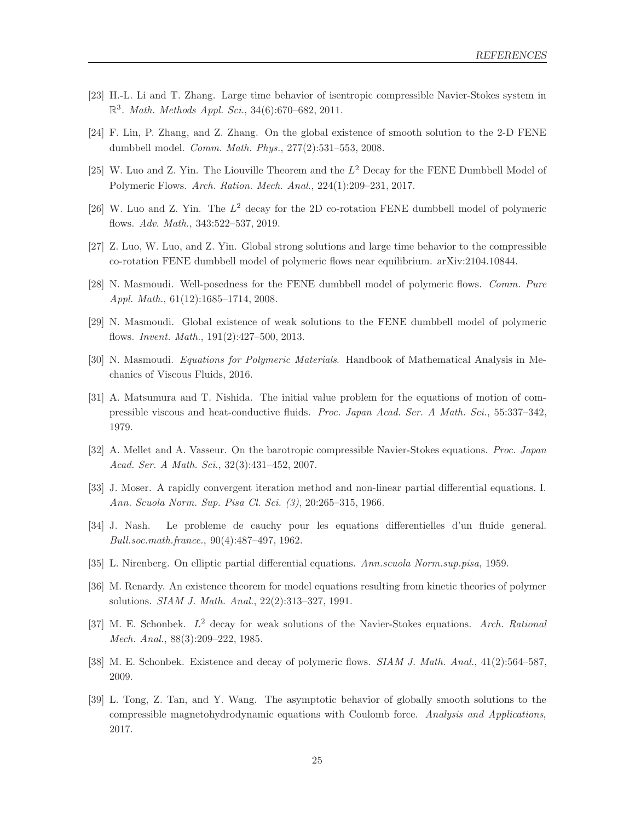- <span id="page-24-12"></span><span id="page-24-4"></span>[23] H.-L. Li and T. Zhang. Large time behavior of isentropic compressible Navier-Stokes system in  $\mathbb{R}^3$ . Math. Methods Appl. Sci., 34(6):670–682, 2011.
- <span id="page-24-7"></span>[24] F. Lin, P. Zhang, and Z. Zhang. On the global existence of smooth solution to the 2-D FENE dumbbell model. Comm. Math. Phys., 277(2):531–553, 2008.
- <span id="page-24-8"></span>[25] W. Luo and Z. Yin. The Liouville Theorem and the  $L^2$  Decay for the FENE Dumbbell Model of Polymeric Flows. Arch. Ration. Mech. Anal., 224(1):209–231, 2017.
- <span id="page-24-0"></span>[26] W. Luo and Z. Yin. The  $L^2$  decay for the 2D co-rotation FENE dumbbell model of polymeric flows. Adv. Math., 343:522–537, 2019.
- <span id="page-24-1"></span>[27] Z. Luo, W. Luo, and Z. Yin. Global strong solutions and large time behavior to the compressible co-rotation FENE dumbbell model of polymeric flows near equilibrium. arXiv:2104.10844.
- <span id="page-24-2"></span>[28] N. Masmoudi. Well-posedness for the FENE dumbbell model of polymeric flows. Comm. Pure Appl. Math., 61(12):1685–1714, 2008.
- <span id="page-24-13"></span>[29] N. Masmoudi. Global existence of weak solutions to the FENE dumbbell model of polymeric flows. Invent. Math., 191(2):427–500, 2013.
- <span id="page-24-10"></span>[30] N. Masmoudi. Equations for Polymeric Materials. Handbook of Mathematical Analysis in Mechanics of Viscous Fluids, 2016.
- [31] A. Matsumura and T. Nishida. The initial value problem for the equations of motion of compressible viscous and heat-conductive fluids. Proc. Japan Acad. Ser. A Math. Sci., 55:337–342, 1979.
- <span id="page-24-16"></span><span id="page-24-11"></span>[32] A. Mellet and A. Vasseur. On the barotropic compressible Navier-Stokes equations. Proc. Japan Acad. Ser. A Math. Sci., 32(3):431–452, 2007.
- <span id="page-24-9"></span>[33] J. Moser. A rapidly convergent iteration method and non-linear partial differential equations. I. Ann. Scuola Norm. Sup. Pisa Cl. Sci. (3), 20:265–315, 1966.
- <span id="page-24-15"></span>[34] J. Nash. Le probleme de cauchy pour les equations differentielles d'un fluide general. Bull.soc.math.france., 90(4):487–497, 1962.
- <span id="page-24-3"></span>[35] L. Nirenberg. On elliptic partial differential equations. Ann.scuola Norm.sup.pisa, 1959.
- <span id="page-24-6"></span>[36] M. Renardy. An existence theorem for model equations resulting from kinetic theories of polymer solutions. SIAM J. Math. Anal., 22(2):313–327, 1991.
- <span id="page-24-5"></span>[37] M. E. Schonbek.  $L^2$  decay for weak solutions of the Navier-Stokes equations. Arch. Rational Mech. Anal., 88(3):209–222, 1985.
- <span id="page-24-14"></span>[38] M. E. Schonbek. Existence and decay of polymeric flows. SIAM J. Math. Anal., 41(2):564–587, 2009.
- [39] L. Tong, Z. Tan, and Y. Wang. The asymptotic behavior of globally smooth solutions to the compressible magnetohydrodynamic equations with Coulomb force. Analysis and Applications, 2017.